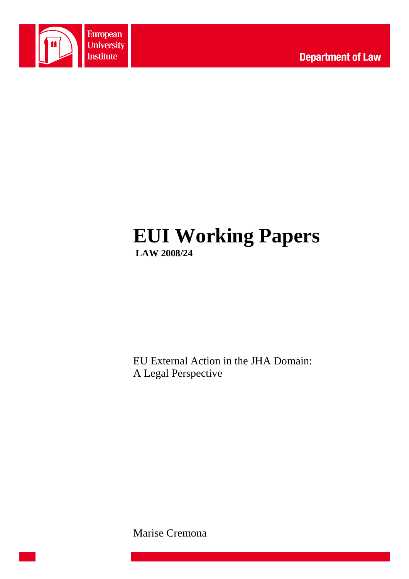

# **EUI Working Papers LAW 2008/24**

EU External Action in the JHA Domain: A Legal Perspective

Marise Cremona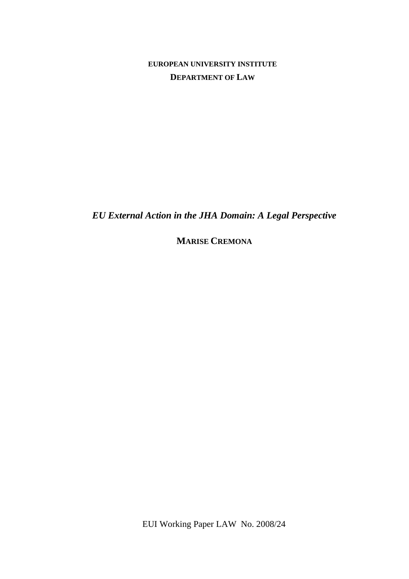**EUROPEAN UNIVERSITY INSTITUTE DEPARTMENT OF LAW**

*EU External Action in the JHA Domain: A Legal Perspective* 

**MARISE CREMONA**

EUI Working Paper LAW No. 2008/24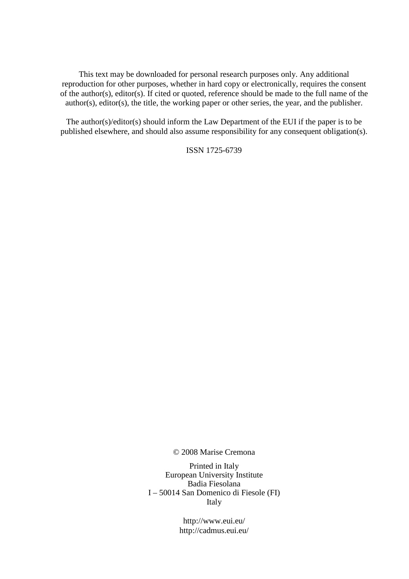This text may be downloaded for personal research purposes only. Any additional reproduction for other purposes, whether in hard copy or electronically, requires the consent of the author(s), editor(s). If cited or quoted, reference should be made to the full name of the author(s), editor(s), the title, the working paper or other series, the year, and the publisher.

The author(s)/editor(s) should inform the Law Department of the EUI if the paper is to be published elsewhere, and should also assume responsibility for any consequent obligation(s).

ISSN 1725-6739

© 2008 Marise Cremona

Printed in Italy European University Institute Badia Fiesolana I – 50014 San Domenico di Fiesole (FI) Italy

> http://www.eui.eu/ http://cadmus.eui.eu/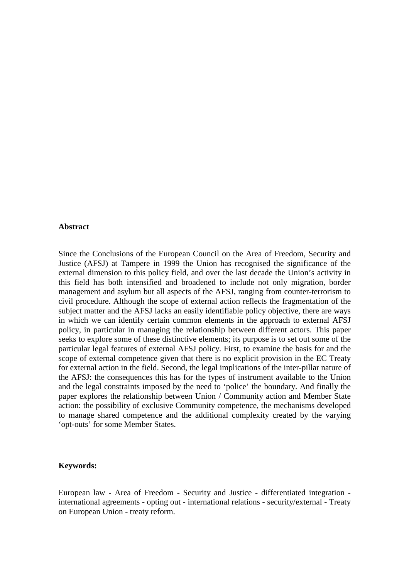#### **Abstract**

Since the Conclusions of the European Council on the Area of Freedom, Security and Justice (AFSJ) at Tampere in 1999 the Union has recognised the significance of the external dimension to this policy field, and over the last decade the Union's activity in this field has both intensified and broadened to include not only migration, border management and asylum but all aspects of the AFSJ, ranging from counter-terrorism to civil procedure. Although the scope of external action reflects the fragmentation of the subject matter and the AFSJ lacks an easily identifiable policy objective, there are ways in which we can identify certain common elements in the approach to external AFSJ policy, in particular in managing the relationship between different actors. This paper seeks to explore some of these distinctive elements; its purpose is to set out some of the particular legal features of external AFSJ policy. First, to examine the basis for and the scope of external competence given that there is no explicit provision in the EC Treaty for external action in the field. Second, the legal implications of the inter-pillar nature of the AFSJ: the consequences this has for the types of instrument available to the Union and the legal constraints imposed by the need to 'police' the boundary. And finally the paper explores the relationship between Union / Community action and Member State action: the possibility of exclusive Community competence, the mechanisms developed to manage shared competence and the additional complexity created by the varying 'opt-outs' for some Member States.

#### **Keywords:**

European law - Area of Freedom - Security and Justice - differentiated integration international agreements - opting out - international relations - security/external - Treaty on European Union - treaty reform.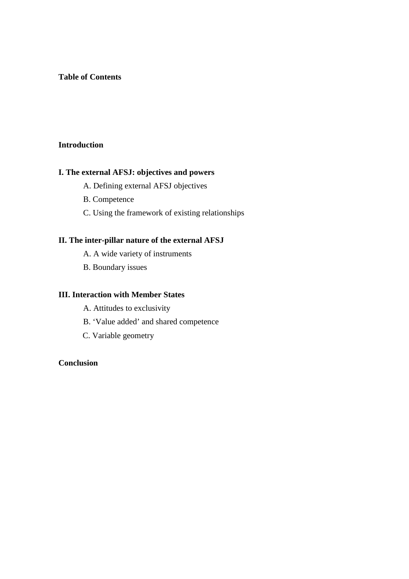#### **Table of Contents**

# **Introduction**

#### **I. The external AFSJ: objectives and powers**

- A. Defining external AFSJ objectives
- B. Competence
- C. Using the framework of existing relationships

# **II. The inter-pillar nature of the external AFSJ**

- A. A wide variety of instruments
- B. Boundary issues

# **III. Interaction with Member States**

- A. Attitudes to exclusivity
- B. 'Value added' and shared competence
- C. Variable geometry

# **Conclusion**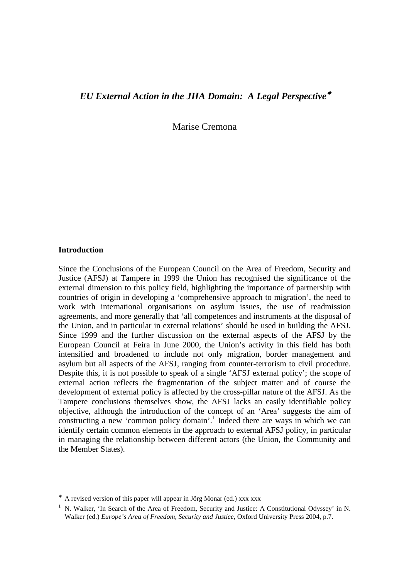# *EU External Action in the JHA Domain: A Legal Perspective*<sup>∗</sup>

Marise Cremona

#### **Introduction**

 $\overline{a}$ 

Since the Conclusions of the European Council on the Area of Freedom, Security and Justice (AFSJ) at Tampere in 1999 the Union has recognised the significance of the external dimension to this policy field, highlighting the importance of partnership with countries of origin in developing a 'comprehensive approach to migration', the need to work with international organisations on asylum issues, the use of readmission agreements, and more generally that 'all competences and instruments at the disposal of the Union, and in particular in external relations' should be used in building the AFSJ. Since 1999 and the further discussion on the external aspects of the AFSJ by the European Council at Feira in June 2000, the Union's activity in this field has both intensified and broadened to include not only migration, border management and asylum but all aspects of the AFSJ, ranging from counter-terrorism to civil procedure. Despite this, it is not possible to speak of a single 'AFSJ external policy'; the scope of external action reflects the fragmentation of the subject matter and of course the development of external policy is affected by the cross-pillar nature of the AFSJ. As the Tampere conclusions themselves show, the AFSJ lacks an easily identifiable policy objective, although the introduction of the concept of an 'Area' suggests the aim of constructing a new 'common policy domain'.<sup>1</sup> Indeed there are ways in which we can identify certain common elements in the approach to external AFSJ policy, in particular in managing the relationship between different actors (the Union, the Community and the Member States).

<sup>∗</sup> A revised version of this paper will appear in Jörg Monar (ed.) xxx xxx

<sup>1</sup> N. Walker, 'In Search of the Area of Freedom, Security and Justice: A Constitutional Odyssey' in N. Walker (ed.) *Europe's Area of Freedom, Security and Justice*, Oxford University Press 2004, p.7.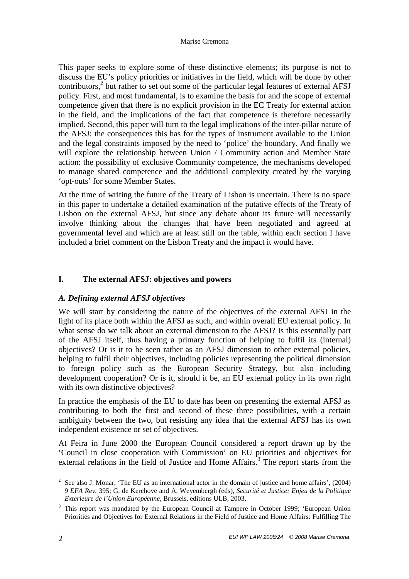This paper seeks to explore some of these distinctive elements; its purpose is not to discuss the EU's policy priorities or initiatives in the field, which will be done by other contributors,<sup>2</sup> but rather to set out some of the particular legal features of external AFSJ policy. First, and most fundamental, is to examine the basis for and the scope of external competence given that there is no explicit provision in the EC Treaty for external action in the field, and the implications of the fact that competence is therefore necessarily implied. Second, this paper will turn to the legal implications of the inter-pillar nature of the AFSJ: the consequences this has for the types of instrument available to the Union and the legal constraints imposed by the need to 'police' the boundary. And finally we will explore the relationship between Union / Community action and Member State action: the possibility of exclusive Community competence, the mechanisms developed to manage shared competence and the additional complexity created by the varying 'opt-outs' for some Member States.

At the time of writing the future of the Treaty of Lisbon is uncertain. There is no space in this paper to undertake a detailed examination of the putative effects of the Treaty of Lisbon on the external AFSJ, but since any debate about its future will necessarily involve thinking about the changes that have been negotiated and agreed at governmental level and which are at least still on the table, within each section I have included a brief comment on the Lisbon Treaty and the impact it would have.

# **I. The external AFSJ: objectives and powers**

# *A. Defining external AFSJ objectives*

We will start by considering the nature of the objectives of the external AFSJ in the light of its place both within the AFSJ as such, and within overall EU external policy. In what sense do we talk about an external dimension to the AFSJ? Is this essentially part of the AFSJ itself, thus having a primary function of helping to fulfil its (internal) objectives? Or is it to be seen rather as an AFSJ dimension to other external policies, helping to fulfil their objectives, including policies representing the political dimension to foreign policy such as the European Security Strategy, but also including development cooperation? Or is it, should it be, an EU external policy in its own right with its own distinctive objectives?

In practice the emphasis of the EU to date has been on presenting the external AFSJ as contributing to both the first and second of these three possibilities, with a certain ambiguity between the two, but resisting any idea that the external AFSJ has its own independent existence or set of objectives.

At Feira in June 2000 the European Council considered a report drawn up by the 'Council in close cooperation with Commission' on EU priorities and objectives for external relations in the field of Justice and Home Affairs.<sup>3</sup> The report starts from the

<sup>&</sup>lt;sup>2</sup> See also J. Monar, 'The EU as an international actor in the domain of justice and home affairs',  $(2004)$ 9 *EFA Rev.* 395; G. de Kerchove and A. Weyembergh (eds), *Securité et Justice: Enjeu de la Politique Exterieure de l'Union Européenne*, Brussels, editions ULB, 2003.

<sup>3</sup> This report was mandated by the European Council at Tampere in October 1999; 'European Union Priorities and Objectives for External Relations in the Field of Justice and Home Affairs: Fulfilling The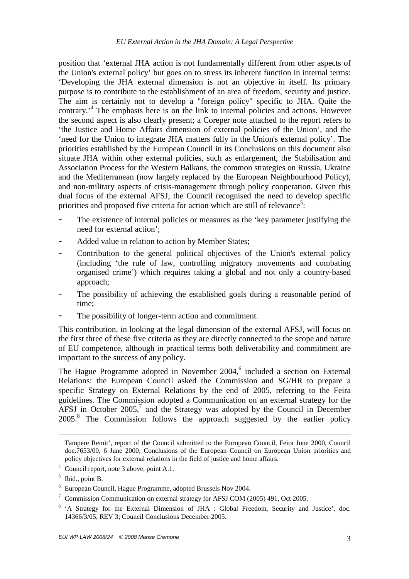position that 'external JHA action is not fundamentally different from other aspects of the Union's external policy' but goes on to stress its inherent function in internal terms: 'Developing the JHA external dimension is not an objective in itself. Its primary purpose is to contribute to the establishment of an area of freedom, security and justice. The aim is certainly not to develop a "foreign policy" specific to JHA. Quite the contrary.<sup>4</sup> The emphasis here is on the link to internal policies and actions. However the second aspect is also clearly present; a Coreper note attached to the report refers to 'the Justice and Home Affairs dimension of external policies of the Union', and the 'need for the Union to integrate JHA matters fully in the Union's external policy'. The priorities established by the European Council in its Conclusions on this document also situate JHA within other external policies, such as enlargement, the Stabilisation and Association Process for the Western Balkans, the common strategies on Russia, Ukraine and the Mediterranean (now largely replaced by the European Neighbourhood Policy), and non-military aspects of crisis-management through policy cooperation. Given this dual focus of the external AFSJ, the Council recognised the need to develop specific priorities and proposed five criteria for action which are still of relevance<sup>5</sup>:

- The existence of internal policies or measures as the 'key parameter justifying the need for external action';
- Added value in relation to action by Member States;
- Contribution to the general political objectives of the Union's external policy (including 'the rule of law, controlling migratory movements and combating organised crime') which requires taking a global and not only a country-based approach;
- The possibility of achieving the established goals during a reasonable period of time;
- The possibility of longer-term action and commitment.

This contribution, in looking at the legal dimension of the external AFSJ, will focus on the first three of these five criteria as they are directly connected to the scope and nature of EU competence, although in practical terms both deliverability and commitment are important to the success of any policy.

The Hague Programme adopted in November  $2004<sup>6</sup>$  included a section on External Relations: the European Council asked the Commission and SG/HR to prepare a specific Strategy on External Relations by the end of 2005, referring to the Feira guidelines. The Commission adopted a Communication on an external strategy for the AFSJ in October 2005, $^7$  and the Strategy was adopted by the Council in December 2005.<sup>8</sup> The Commission follows the approach suggested by the earlier policy

<u>.</u>

Tampere Remit', report of the Council submitted to the European Council, Feira June 2000, Council doc.7653/00, 6 June 2000; Conclusions of the European Council on European Union priorities and policy objectives for external relations in the field of justice and home affairs.

<sup>4</sup> Council report, note 3 above, point A.1.

 $<sup>5</sup>$  Ibid., point B.</sup>

<sup>6</sup> European Council, Hague Programme, adopted Brussels Nov 2004.

<sup>&</sup>lt;sup>7</sup> Commission Communication on external strategy for AFSJ COM (2005) 491, Oct 2005.

<sup>&</sup>lt;sup>8</sup> 'A Strategy for the External Dimension of JHA : Global Freedom, Security and Justice', doc. 14366/3/05, REV 3; Council Conclusions December 2005.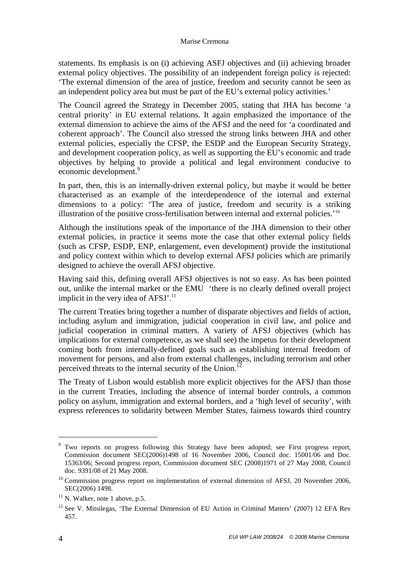statements. Its emphasis is on (i) achieving ASFJ objectives and (ii) achieving broader external policy objectives. The possibility of an independent foreign policy is rejected: 'The external dimension of the area of justice, freedom and security cannot be seen as an independent policy area but must be part of the EU's external policy activities.'

The Council agreed the Strategy in December 2005, stating that JHA has become 'a central priority' in EU external relations. It again emphasized the importance of the external dimension to achieve the aims of the AFSJ and the need for 'a coordinated and coherent approach'. The Council also stressed the strong links between JHA and other external policies, especially the CFSP, the ESDP and the European Security Strategy, and development cooperation policy, as well as supporting the EU's economic and trade objectives by helping to provide a political and legal environment conducive to economic development.<sup>9</sup>

In part, then, this is an internally-driven external policy, but maybe it would be better characterised as an example of the interdependence of the internal and external dimensions to a policy: 'The area of justice, freedom and security is a striking illustration of the positive cross-fertilisation between internal and external policies.'<sup>10</sup>

Although the institutions speak of the importance of the JHA dimension to their other external policies, in practice it seems more the case that other external policy fields (such as CFSP, ESDP, ENP, enlargement, even development) provide the institutional and policy context within which to develop external AFSJ policies which are primarily designed to achieve the overall AFSJ objective.

Having said this, defining overall AFSJ objectives is not so easy. As has been pointed out, unlike the internal market or the EMU 'there is no clearly defined overall project implicit in the very idea of AFSJ'.<sup>11</sup>

The current Treaties bring together a number of disparate objectives and fields of action, including asylum and immigration, judicial cooperation in civil law, and police and judicial cooperation in criminal matters. A variety of AFSJ objectives (which has implications for external competence, as we shall see) the impetus for their development coming both from internally-defined goals such as establishing internal freedom of movement for persons, and also from external challenges, including terrorism and other perceived threats to the internal security of the Union.<sup>12</sup>

The Treaty of Lisbon would establish more explicit objectives for the AFSJ than those in the current Treaties, including the absence of internal border controls, a common policy on asylum, immigration and external borders, and a 'high level of security', with express references to solidarity between Member States, fairness towards third country

<sup>9</sup> Two reports on progress following this Strategy have been adopted; see First progress report, Commission document SEC(2006)1498 of 16 November 2006, Council doc. 15001/06 and Doc. 15363/06; Second progress report, Commission document SEC (2008)1971 of 27 May 2008, Council doc. 9391/08 of 21 May 2008.

 $10$  Commission progress report on implementation of external dimension of AFSJ, 20 November 2006, SEC(2006) 1498.

 $11$  N. Walker, note 1 above, p.5.

 $12$  See V. Mitsilegas, 'The External Dimension of EU Action in Criminal Matters' (2007) 12 EFA Rev 457.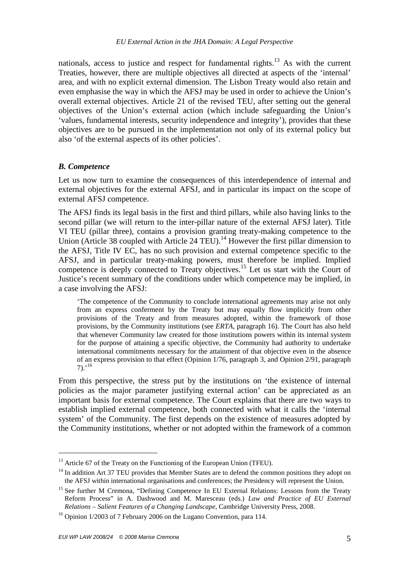nationals, access to justice and respect for fundamental rights.<sup>13</sup> As with the current Treaties, however, there are multiple objectives all directed at aspects of the 'internal' area, and with no explicit external dimension. The Lisbon Treaty would also retain and even emphasise the way in which the AFSJ may be used in order to achieve the Union's overall external objectives. Article 21 of the revised TEU, after setting out the general objectives of the Union's external action (which include safeguarding the Union's 'values, fundamental interests, security independence and integrity'), provides that these objectives are to be pursued in the implementation not only of its external policy but also 'of the external aspects of its other policies'.

#### *B. Competence*

Let us now turn to examine the consequences of this interdependence of internal and external objectives for the external AFSJ, and in particular its impact on the scope of external AFSJ competence.

The AFSJ finds its legal basis in the first and third pillars, while also having links to the second pillar (we will return to the inter-pillar nature of the external AFSJ later). Title VI TEU (pillar three), contains a provision granting treaty-making competence to the Union (Article 38 coupled with Article 24 TEU).<sup>14</sup> However the first pillar dimension to the AFSJ, Title IV EC, has no such provision and external competence specific to the AFSJ, and in particular treaty-making powers, must therefore be implied. Implied competence is deeply connected to Treaty objectives.<sup>15</sup> Let us start with the Court of Justice's recent summary of the conditions under which competence may be implied, in a case involving the AFSJ:

'The competence of the Community to conclude international agreements may arise not only from an express conferment by the Treaty but may equally flow implicitly from other provisions of the Treaty and from measures adopted, within the framework of those provisions, by the Community institutions (see *ERTA*, paragraph 16). The Court has also held that whenever Community law created for those institutions powers within its internal system for the purpose of attaining a specific objective, the Community had authority to undertake international commitments necessary for the attainment of that objective even in the absence of an express provision to that effect (Opinion 1/76, paragraph 3, and Opinion 2/91, paragraph  $7)$ .<sup>16</sup>

From this perspective, the stress put by the institutions on 'the existence of internal policies as the major parameter justifying external action' can be appreciated as an important basis for external competence. The Court explains that there are two ways to establish implied external competence, both connected with what it calls the 'internal system' of the Community. The first depends on the existence of measures adopted by the Community institutions, whether or not adopted within the framework of a common

 $13$  Article 67 of the Treaty on the Functioning of the European Union (TFEU).

 $14$  In addition Art 37 TEU provides that Member States are to defend the common positions they adopt on the AFSJ within international organisations and conferences; the Presidency will represent the Union.

<sup>&</sup>lt;sup>15</sup> See further M Cremona, "Defining Competence In EU External Relations: Lessons from the Treaty Reform Process" in A. Dashwood and M. Maresceau (eds.) *Law and Practice of EU External Relations – Salient Features of a Changing Landscape*, Cambridge University Press, 2008.

<sup>&</sup>lt;sup>16</sup> Opinion 1/2003 of 7 February 2006 on the Lugano Convention, para 114.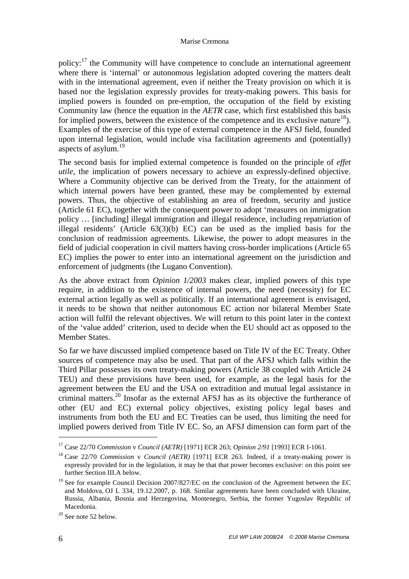policy: $17$  the Community will have competence to conclude an international agreement where there is 'internal' or autonomous legislation adopted covering the matters dealt with in the international agreement, even if neither the Treaty provision on which it is based nor the legislation expressly provides for treaty-making powers. This basis for implied powers is founded on pre-emption, the occupation of the field by existing Community law (hence the equation in the *AETR* case, which first established this basis for implied powers, between the existence of the competence and its exclusive nature<sup>18</sup>). Examples of the exercise of this type of external competence in the AFSJ field, founded upon internal legislation, would include visa facilitation agreements and (potentially) aspects of asylum.<sup>19</sup>

The second basis for implied external competence is founded on the principle of *effet utile*, the implication of powers necessary to achieve an expressly-defined objective. Where a Community objective can be derived from the Treaty, for the attainment of which internal powers have been granted, these may be complemented by external powers. Thus, the objective of establishing an area of freedom, security and justice (Article 61 EC), together with the consequent power to adopt 'measures on immigration policy … [including] illegal immigration and illegal residence, including repatriation of illegal residents' (Article 63(3)(b) EC) can be used as the implied basis for the conclusion of readmission agreements. Likewise, the power to adopt measures in the field of judicial cooperation in civil matters having cross-border implications (Article 65 EC) implies the power to enter into an international agreement on the jurisdiction and enforcement of judgments (the Lugano Convention).

As the above extract from *Opinion 1/2003* makes clear, implied powers of this type require, in addition to the existence of internal powers, the need (necessity) for EC external action legally as well as politically. If an international agreement is envisaged, it needs to be shown that neither autonomous EC action nor bilateral Member State action will fulfil the relevant objectives. We will return to this point later in the context of the 'value added' criterion, used to decide when the EU should act as opposed to the Member States.

So far we have discussed implied competence based on Title IV of the EC Treaty. Other sources of competence may also be used. That part of the AFSJ which falls within the Third Pillar possesses its own treaty-making powers (Article 38 coupled with Article 24 TEU) and these provisions have been used, for example, as the legal basis for the agreement between the EU and the USA on extradition and mutual legal assistance in criminal matters.<sup>20</sup> Insofar as the external AFSJ has as its objective the furtherance of other (EU and EC) external policy objectives, existing policy legal bases and instruments from both the EU and EC Treaties can be used, thus limiting the need for implied powers derived from Title IV EC. So, an AFSJ dimension can form part of the

<sup>17</sup> Case 22/70 *Commission* v *Council (AETR)* [1971] ECR 263; *Opinion 2/91* [1993] ECR I-1061.

<sup>18</sup> Case 22/70 *Commission* v *Council (AETR)* [1971] ECR 263. Indeed, if a treaty-making power is expressly provided for in the legislation, it may be that that power becomes exclusive: on this point see further Section III.A below.

<sup>&</sup>lt;sup>19</sup> See for example Council Decision 2007/827/EC on the conclusion of the Agreement between the EC and Moldova, OJ L 334, 19.12.2007, p. 168. Similar agreements have been concluded with Ukraine, Russia, Albania, Bosnia and Herzegovina, Montenegro, Serbia, the former Yugoslav Republic of Macedonia.

<sup>&</sup>lt;sup>20</sup> See note 52 below.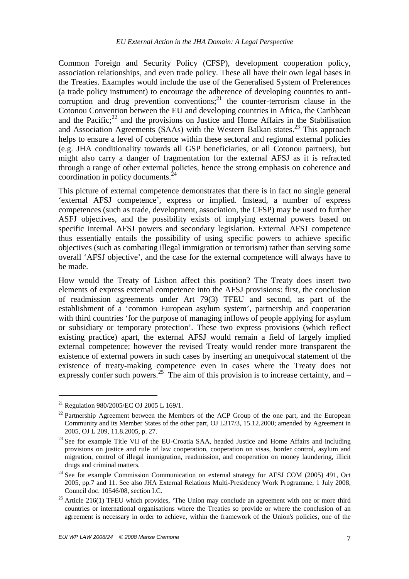Common Foreign and Security Policy (CFSP), development cooperation policy, association relationships, and even trade policy. These all have their own legal bases in the Treaties. Examples would include the use of the Generalised System of Preferences (a trade policy instrument) to encourage the adherence of developing countries to anticorruption and drug prevention conventions;<sup>21</sup> the counter-terrorism clause in the Cotonou Convention between the EU and developing countries in Africa, the Caribbean and the Pacific; $^{22}$  and the provisions on Justice and Home Affairs in the Stabilisation and Association Agreements (SAAs) with the Western Balkan states.<sup>23</sup> This approach helps to ensure a level of coherence within these sectoral and regional external policies (e.g. JHA conditionality towards all GSP beneficiaries, or all Cotonou partners), but might also carry a danger of fragmentation for the external AFSJ as it is refracted through a range of other external policies, hence the strong emphasis on coherence and coordination in policy documents. $^{24}$ 

This picture of external competence demonstrates that there is in fact no single general 'external AFSJ competence', express or implied. Instead, a number of express competences (such as trade, development, association, the CFSP) may be used to further ASFJ objectives, and the possibility exists of implying external powers based on specific internal AFSJ powers and secondary legislation. External AFSJ competence thus essentially entails the possibility of using specific powers to achieve specific objectives (such as combating illegal immigration or terrorism) rather than serving some overall 'AFSJ objective', and the case for the external competence will always have to be made.

How would the Treaty of Lisbon affect this position? The Treaty does insert two elements of express external competence into the AFSJ provisions: first, the conclusion of readmission agreements under Art 79(3) TFEU and second, as part of the establishment of a 'common European asylum system', partnership and cooperation with third countries 'for the purpose of managing inflows of people applying for asylum or subsidiary or temporary protection'. These two express provisions (which reflect existing practice) apart, the external AFSJ would remain a field of largely implied external competence; however the revised Treaty would render more transparent the existence of external powers in such cases by inserting an unequivocal statement of the existence of treaty-making competence even in cases where the Treaty does not expressly confer such powers.<sup>25</sup> The aim of this provision is to increase certainty, and –

<sup>&</sup>lt;sup>21</sup> Regulation 980/2005/EC OJ 2005 L 169/1.

 $22$  Partnership Agreement between the Members of the ACP Group of the one part, and the European Community and its Member States of the other part, OJ L317/3, 15.12.2000; amended by Agreement in 2005, OJ L 209, 11.8.2005, p. 27.

 $^{23}$  See for example Title VII of the EU-Croatia SAA, headed Justice and Home Affairs and including provisions on justice and rule of law cooperation, cooperation on visas, border control, asylum and migration, control of illegal immigration, readmission, and cooperation on money laundering, illicit drugs and criminal matters.

<sup>&</sup>lt;sup>24</sup> See for example Commission Communication on external strategy for AFSJ COM (2005) 491, Oct 2005, pp.7 and 11. See also JHA External Relations Multi-Presidency Work Programme, 1 July 2008, Council doc. 10546/08, section I.C.

 $25$  Article 216(1) TFEU which provides, 'The Union may conclude an agreement with one or more third countries or international organisations where the Treaties so provide or where the conclusion of an agreement is necessary in order to achieve, within the framework of the Union's policies, one of the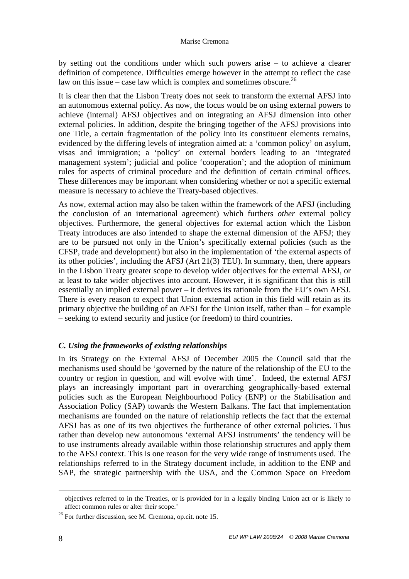by setting out the conditions under which such powers arise – to achieve a clearer definition of competence. Difficulties emerge however in the attempt to reflect the case law on this issue – case law which is complex and sometimes obscure.<sup>26</sup>

It is clear then that the Lisbon Treaty does not seek to transform the external AFSJ into an autonomous external policy. As now, the focus would be on using external powers to achieve (internal) AFSJ objectives and on integrating an AFSJ dimension into other external policies. In addition, despite the bringing together of the AFSJ provisions into one Title, a certain fragmentation of the policy into its constituent elements remains, evidenced by the differing levels of integration aimed at: a 'common policy' on asylum, visas and immigration; a 'policy' on external borders leading to an 'integrated management system'; judicial and police 'cooperation'; and the adoption of minimum rules for aspects of criminal procedure and the definition of certain criminal offices. These differences may be important when considering whether or not a specific external measure is necessary to achieve the Treaty-based objectives.

As now, external action may also be taken within the framework of the AFSJ (including the conclusion of an international agreement) which furthers *other* external policy objectives. Furthermore, the general objectives for external action which the Lisbon Treaty introduces are also intended to shape the external dimension of the AFSJ; they are to be pursued not only in the Union's specifically external policies (such as the CFSP, trade and development) but also in the implementation of 'the external aspects of its other policies', including the AFSJ (Art 21(3) TEU). In summary, then, there appears in the Lisbon Treaty greater scope to develop wider objectives for the external AFSJ, or at least to take wider objectives into account. However, it is significant that this is still essentially an implied external power – it derives its rationale from the EU's own AFSJ. There is every reason to expect that Union external action in this field will retain as its primary objective the building of an AFSJ for the Union itself, rather than – for example – seeking to extend security and justice (or freedom) to third countries.

# *C. Using the frameworks of existing relationships*

In its Strategy on the External AFSJ of December 2005 the Council said that the mechanisms used should be 'governed by the nature of the relationship of the EU to the country or region in question, and will evolve with time'. Indeed, the external AFSJ plays an increasingly important part in overarching geographically-based external policies such as the European Neighbourhood Policy (ENP) or the Stabilisation and Association Policy (SAP) towards the Western Balkans. The fact that implementation mechanisms are founded on the nature of relationship reflects the fact that the external AFSJ has as one of its two objectives the furtherance of other external policies. Thus rather than develop new autonomous 'external AFSJ instruments' the tendency will be to use instruments already available within those relationship structures and apply them to the AFSJ context. This is one reason for the very wide range of instruments used. The relationships referred to in the Strategy document include, in addition to the ENP and SAP, the strategic partnership with the USA, and the Common Space on Freedom

-

objectives referred to in the Treaties, or is provided for in a legally binding Union act or is likely to affect common rules or alter their scope.'

 $26$  For further discussion, see M. Cremona, op.cit. note 15.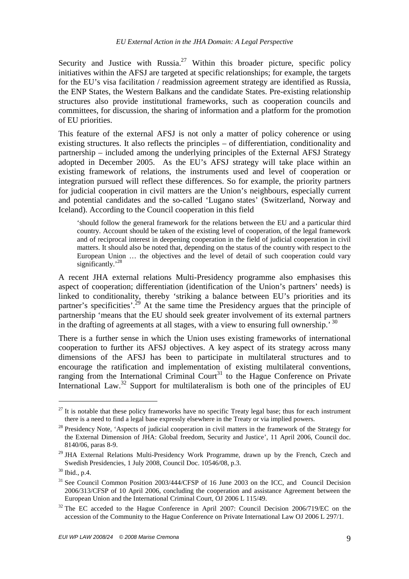Security and Justice with Russia.<sup>27</sup> Within this broader picture, specific policy initiatives within the AFSJ are targeted at specific relationships; for example, the targets for the EU's visa facilitation / readmission agreement strategy are identified as Russia, the ENP States, the Western Balkans and the candidate States. Pre-existing relationship structures also provide institutional frameworks, such as cooperation councils and committees, for discussion, the sharing of information and a platform for the promotion of EU priorities.

This feature of the external AFSJ is not only a matter of policy coherence or using existing structures. It also reflects the principles – of differentiation, conditionality and partnership – included among the underlying principles of the External AFSJ Strategy adopted in December 2005. As the EU's AFSJ strategy will take place within an existing framework of relations, the instruments used and level of cooperation or integration pursued will reflect these differences. So for example, the priority partners for judicial cooperation in civil matters are the Union's neighbours, especially current and potential candidates and the so-called 'Lugano states' (Switzerland, Norway and Iceland). According to the Council cooperation in this field

'should follow the general framework for the relations between the EU and a particular third country. Account should be taken of the existing level of cooperation, of the legal framework and of reciprocal interest in deepening cooperation in the field of judicial cooperation in civil matters. It should also be noted that, depending on the status of the country with respect to the European Union … the objectives and the level of detail of such cooperation could vary significantly.'<sup>28</sup>

A recent JHA external relations Multi-Presidency programme also emphasises this aspect of cooperation; differentiation (identification of the Union's partners' needs) is linked to conditionality, thereby 'striking a balance between EU's priorities and its partner's specificities'.<sup>29</sup> At the same time the Presidency argues that the principle of partnership 'means that the EU should seek greater involvement of its external partners in the drafting of agreements at all stages, with a view to ensuring full ownership.<sup>30</sup>

There is a further sense in which the Union uses existing frameworks of international cooperation to further its AFSJ objectives. A key aspect of its strategy across many dimensions of the AFSJ has been to participate in multilateral structures and to encourage the ratification and implementation of existing multilateral conventions, ranging from the International Criminal Court<sup>31</sup> to the Hague Conference on Private International Law.<sup>32</sup> Support for multilateralism is both one of the principles of EU

 $27$  It is notable that these policy frameworks have no specific Treaty legal base; thus for each instrument there is a need to find a legal base expressly elsewhere in the Treaty or via implied powers.

<sup>&</sup>lt;sup>28</sup> Presidency Note, 'Aspects of judicial cooperation in civil matters in the framework of the Strategy for the External Dimension of JHA: Global freedom, Security and Justice', 11 April 2006, Council doc. 8140/06, paras 8-9.

 $29$  JHA External Relations Multi-Presidency Work Programme, drawn up by the French, Czech and Swedish Presidencies, 1 July 2008, Council Doc. 10546/08, p.3.

<sup>30</sup> Ibid., p.4.

<sup>&</sup>lt;sup>31</sup> See Council Common Position 2003/444/CFSP of 16 June 2003 on the ICC, and Council Decision 2006/313/CFSP of 10 April 2006, concluding the cooperation and assistance Agreement between the European Union and the International Criminal Court, OJ 2006 L 115/49.

 $32$  The EC acceded to the Hague Conference in April 2007: Council Decision 2006/719/EC on the accession of the Community to the Hague Conference on Private International Law OJ 2006 L 297/1.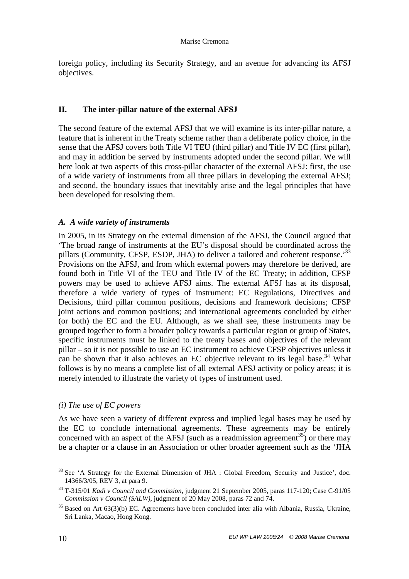foreign policy, including its Security Strategy, and an avenue for advancing its AFSJ objectives.

# **II. The inter-pillar nature of the external AFSJ**

The second feature of the external AFSJ that we will examine is its inter-pillar nature, a feature that is inherent in the Treaty scheme rather than a deliberate policy choice, in the sense that the AFSJ covers both Title VI TEU (third pillar) and Title IV EC (first pillar), and may in addition be served by instruments adopted under the second pillar. We will here look at two aspects of this cross-pillar character of the external AFSJ: first, the use of a wide variety of instruments from all three pillars in developing the external AFSJ; and second, the boundary issues that inevitably arise and the legal principles that have been developed for resolving them.

# *A. A wide variety of instruments*

In 2005, in its Strategy on the external dimension of the AFSJ, the Council argued that 'The broad range of instruments at the EU's disposal should be coordinated across the pillars (Community, CFSP, ESDP, JHA) to deliver a tailored and coherent response.<sup>33</sup> Provisions on the AFSJ, and from which external powers may therefore be derived, are found both in Title VI of the TEU and Title IV of the EC Treaty; in addition, CFSP powers may be used to achieve AFSJ aims. The external AFSJ has at its disposal, therefore a wide variety of types of instrument: EC Regulations, Directives and Decisions, third pillar common positions, decisions and framework decisions; CFSP joint actions and common positions; and international agreements concluded by either (or both) the EC and the EU. Although, as we shall see, these instruments may be grouped together to form a broader policy towards a particular region or group of States, specific instruments must be linked to the treaty bases and objectives of the relevant pillar – so it is not possible to use an EC instrument to achieve CFSP objectives unless it can be shown that it also achieves an EC objective relevant to its legal base.<sup>34</sup> What follows is by no means a complete list of all external AFSJ activity or policy areas; it is merely intended to illustrate the variety of types of instrument used.

#### *(i) The use of EC powers*

As we have seen a variety of different express and implied legal bases may be used by the EC to conclude international agreements. These agreements may be entirely concerned with an aspect of the AFSJ (such as a readmission agreement<sup>35</sup>) or there may be a chapter or a clause in an Association or other broader agreement such as the 'JHA

<sup>&</sup>lt;sup>33</sup> See 'A Strategy for the External Dimension of JHA : Global Freedom, Security and Justice', doc. 14366/3/05, REV 3, at para 9.

<sup>34</sup> T-315/01 *Kadi v Council and Commission*, judgment 21 September 2005, paras 117-120; Case C-91/05 *Commission v Council (SALW)*, judgment of 20 May 2008, paras 72 and 74.

 $35$  Based on Art 63(3)(b) EC. Agreements have been concluded inter alia with Albania, Russia, Ukraine, Sri Lanka, Macao, Hong Kong.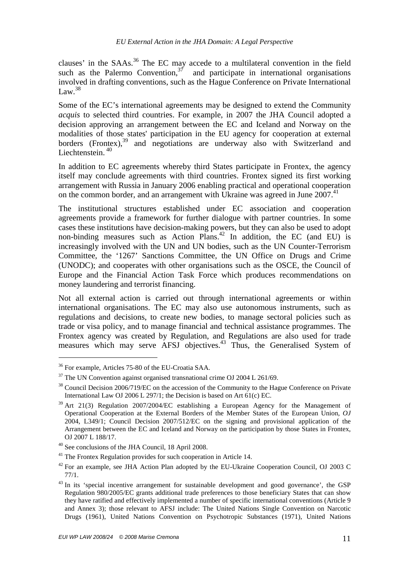clauses' in the  $SAAs$ <sup>36</sup>. The EC may accede to a multilateral convention in the field such as the Palermo Convention,  $3^7$  and participate in international organisations involved in drafting conventions, such as the Hague Conference on Private International  $Law.<sup>38</sup>$ 

Some of the EC's international agreements may be designed to extend the Community *acquis* to selected third countries. For example, in 2007 the JHA Council adopted a decision approving an arrangement between the EC and Iceland and Norway on the modalities of those states' participation in the EU agency for cooperation at external borders (Frontex),<sup>39</sup> and negotiations are underway also with Switzerland and Liechtenstein.<sup>40</sup>

In addition to EC agreements whereby third States participate in Frontex, the agency itself may conclude agreements with third countries. Frontex signed its first working arrangement with Russia in January 2006 enabling practical and operational cooperation on the common border, and an arrangement with Ukraine was agreed in June 2007.<sup>41</sup>

The institutional structures established under EC association and cooperation agreements provide a framework for further dialogue with partner countries. In some cases these institutions have decision-making powers, but they can also be used to adopt non-binding measures such as Action Plans.<sup>42</sup> In addition, the EC (and EU) is increasingly involved with the UN and UN bodies, such as the UN Counter-Terrorism Committee, the '1267' Sanctions Committee, the UN Office on Drugs and Crime (UNODC); and cooperates with other organisations such as the OSCE, the Council of Europe and the Financial Action Task Force which produces recommendations on money laundering and terrorist financing.

Not all external action is carried out through international agreements or within international organisations. The EC may also use autonomous instruments, such as regulations and decisions, to create new bodies, to manage sectoral policies such as trade or visa policy, and to manage financial and technical assistance programmes. The Frontex agency was created by Regulation, and Regulations are also used for trade measures which may serve AFSJ objectives.<sup>43</sup> Thus, the Generalised System of

<sup>36</sup> For example, Articles 75-80 of the EU-Croatia SAA.

<sup>&</sup>lt;sup>37</sup> The UN Convention against organised transnational crime OJ 2004 L 261/69.

<sup>&</sup>lt;sup>38</sup> Council Decision 2006/719/EC on the accession of the Community to the Hague Conference on Private International Law OJ 2006 L 297/1; the Decision is based on Art 61(c) EC.

 $39$  Art 21(3) Regulation 2007/2004/EC establishing a European Agency for the Management of Operational Cooperation at the External Borders of the Member States of the European Union, *OJ* 2004, L349/1; Council Decision 2007/512/EC on the signing and provisional application of the Arrangement between the EC and Iceland and Norway on the participation by those States in Frontex, OJ 2007 L 188/17.

<sup>40</sup> See conclusions of the JHA Council, 18 April 2008.

<sup>&</sup>lt;sup>41</sup> The Frontex Regulation provides for such cooperation in Article 14.

<sup>&</sup>lt;sup>42</sup> For an example, see JHA Action Plan adopted by the EU-Ukraine Cooperation Council, OJ 2003 C 77/1.

<sup>&</sup>lt;sup>43</sup> In its 'special incentive arrangement for sustainable development and good governance', the GSP Regulation 980/2005/EC grants additional trade preferences to those beneficiary States that can show they have ratified and effectively implemented a number of specific international conventions (Article 9 and Annex 3); those relevant to AFSJ include: The United Nations Single Convention on Narcotic Drugs (1961), United Nations Convention on Psychotropic Substances (1971), United Nations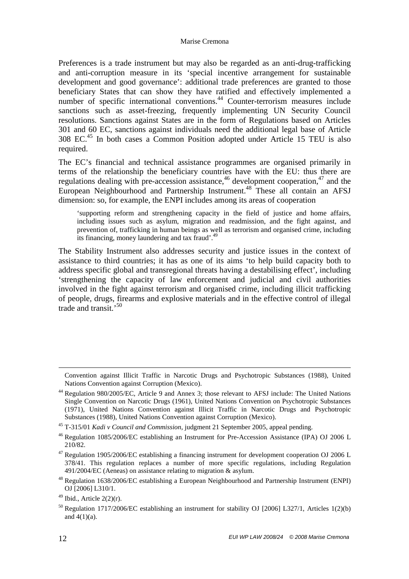Preferences is a trade instrument but may also be regarded as an anti-drug-trafficking and anti-corruption measure in its 'special incentive arrangement for sustainable development and good governance': additional trade preferences are granted to those beneficiary States that can show they have ratified and effectively implemented a number of specific international conventions.<sup>44</sup> Counter-terrorism measures include sanctions such as asset-freezing, frequently implementing UN Security Council resolutions. Sanctions against States are in the form of Regulations based on Articles 301 and 60 EC, sanctions against individuals need the additional legal base of Article 308 EC.<sup>45</sup> In both cases a Common Position adopted under Article 15 TEU is also required.

The EC's financial and technical assistance programmes are organised primarily in terms of the relationship the beneficiary countries have with the EU: thus there are regulations dealing with pre-accession assistance,  $46$  development cooperation,  $47$  and the European Neighbourhood and Partnership Instrument.<sup>48</sup> These all contain an AFSJ dimension: so, for example, the ENPI includes among its areas of cooperation

'supporting reform and strengthening capacity in the field of justice and home affairs, including issues such as asylum, migration and readmission, and the fight against, and prevention of, trafficking in human beings as well as terrorism and organised crime, including its financing, money laundering and tax fraud'.<sup>49</sup>

The Stability Instrument also addresses security and justice issues in the context of assistance to third countries; it has as one of its aims 'to help build capacity both to address specific global and transregional threats having a destabilising effect', including 'strengthening the capacity of law enforcement and judicial and civil authorities involved in the fight against terrorism and organised crime, including illicit trafficking of people, drugs, firearms and explosive materials and in the effective control of illegal trade and transit.'<sup>50</sup>

<u>.</u>

Convention against Illicit Traffic in Narcotic Drugs and Psychotropic Substances (1988), United Nations Convention against Corruption (Mexico).

<sup>44</sup> Regulation 980/2005/EC, Article 9 and Annex 3; those relevant to AFSJ include: The United Nations Single Convention on Narcotic Drugs (1961), United Nations Convention on Psychotropic Substances (1971), United Nations Convention against Illicit Traffic in Narcotic Drugs and Psychotropic Substances (1988), United Nations Convention against Corruption (Mexico).

<sup>45</sup> T-315/01 *Kadi v Council and Commission*, judgment 21 September 2005, appeal pending.

<sup>46</sup> Regulation 1085/2006/EC establishing an Instrument for Pre-Accession Assistance (IPA) OJ 2006 L 210/82.

 $47$  Regulation 1905/2006/EC establishing a financing instrument for development cooperation OJ 2006 L 378/41. This regulation replaces a number of more specific regulations, including Regulation 491/2004/EC (Aeneas) on assistance relating to migration & asylum.

<sup>48</sup> Regulation 1638/2006/EC establishing a European Neighbourhood and Partnership Instrument (ENPI) OJ [2006] L310/1.

 $49$  Ibid., Article 2(2)(r).

<sup>&</sup>lt;sup>50</sup> Regulation 1717/2006/EC establishing an instrument for stability OJ [2006] L327/1, Articles 1(2)(b) and  $4(1)(a)$ .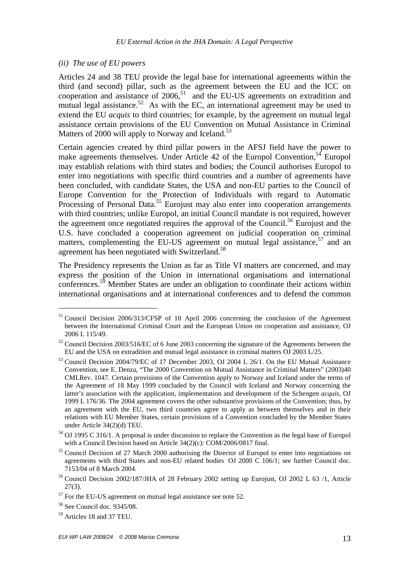#### *(ii) The use of EU powers*

Articles 24 and 38 TEU provide the legal base for international agreements within the third (and second) pillar, such as the agreement between the EU and the ICC on cooperation and assistance of  $2006$ ,<sup>51</sup> and the EU-US agreements on extradition and mutual legal assistance.<sup>52</sup> As with the EC, an international agreement may be used to extend the EU *acquis* to third countries; for example, by the agreement on mutual legal assistance certain provisions of the EU Convention on Mutual Assistance in Criminal Matters of 2000 will apply to Norway and Iceland.<sup>53</sup>

Certain agencies created by third pillar powers in the AFSJ field have the power to make agreements themselves. Under Article 42 of the Europol Convention,<sup>54</sup> Europol may establish relations with third states and bodies; the Council authorises Europol to enter into negotiations with specific third countries and a number of agreements have been concluded, with candidate States, the USA and non-EU parties to the Council of Europe Convention for the Protection of Individuals with regard to Automatic Processing of Personal Data.<sup>55</sup> Eurojust may also enter into cooperation arrangements with third countries; unlike Europol, an initial Council mandate is not required, however the agreement once negotiated requires the approval of the Council.<sup>56</sup> Eurojust and the U.S. have concluded a cooperation agreement on judicial cooperation on criminal matters, complementing the EU-US agreement on mutual legal assistance,  $57$  and an agreement has been negotiated with Switzerland.<sup>58</sup>

The Presidency represents the Union as far as Title VI matters are concerned, and may express the position of the Union in international organisations and international conferences.<sup>59</sup> Member States are under an obligation to coordinate their actions within international organisations and at international conferences and to defend the common

<sup>&</sup>lt;sup>51</sup> Council Decision 2006/313/CFSP of 10 April 2006 concerning the conclusion of the Agreement between the International Criminal Court and the European Union on cooperation and assistance, OJ 2006 L 115/49.

<sup>52</sup> Council Decision 2003/516/EC of 6 June 2003 concerning the signature of the Agreements between the EU and the USA on extradition and mutual legal assistance in criminal matters OJ 2003 L/25.

<sup>&</sup>lt;sup>53</sup> Council Decision 2004/79/EC of 17 December 2003, OJ 2004 L 26/1. On the EU Mutual Assistance Convention, see E. Denza, "The 2000 Convention on Mutual Assistance in Criminal Matters" (2003)40 CMLRev. 1047. Certain provisions of the Convention apply to Norway and Iceland under the terms of the Agreement of 18 May 1999 concluded by the Council with Iceland and Norway concerning the latter's association with the application, implementation and development of the Schengen *acquis,* OJ 1999 L 176/36. The 2004 agreement covers the other substantive provisions of the Convention; thus, by an agreement with the EU, two third countries agree to apply as between themselves and in their relations with EU Member States, certain provisions of a Convention concluded by the Member States under Article 34(2)(d) TEU.

<sup>&</sup>lt;sup>54</sup> OJ 1995 C 316/1. A proposal is under discussion to replace the Convention as the legal base of Europol with a Council Decision based on Article 34(2)(c): COM/2006/0817 final.

<sup>&</sup>lt;sup>55</sup> Council Decision of 27 March 2000 authorising the Director of Europol to enter into negotiations on agreements with third States and non-EU related bodiesOJ 2000 C 106/1; see further Council doc. 7153/04 of 8 March 2004.

<sup>&</sup>lt;sup>56</sup> Council Decision 2002/187/JHA of 28 February 2002 setting up Eurojust, OJ 2002 L 63 /1, Article 27(3).

 $57$  For the EU-US agreement on mutual legal assistance see note 52.

<sup>58</sup> See Council doc. 9345/08.

<sup>59</sup> Articles 18 and 37 TEU.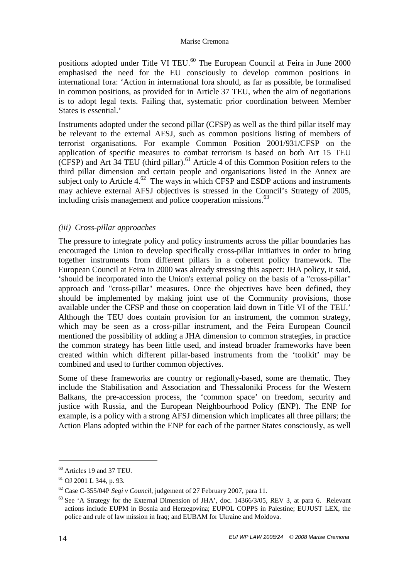positions adopted under Title VI TEU.<sup>60</sup> The European Council at Feira in June 2000 emphasised the need for the EU consciously to develop common positions in international fora: 'Action in international fora should, as far as possible, be formalised in common positions, as provided for in Article 37 TEU, when the aim of negotiations is to adopt legal texts. Failing that, systematic prior coordination between Member States is essential.'

Instruments adopted under the second pillar (CFSP) as well as the third pillar itself may be relevant to the external AFSJ, such as common positions listing of members of terrorist organisations. For example Common Position 2001/931/CFSP on the application of specific measures to combat terrorism is based on both Art 15 TEU  $(CFSP)$  and Art 34 TEU (third pillar).<sup>61</sup> Article 4 of this Common Position refers to the third pillar dimension and certain people and organisations listed in the Annex are subject only to Article  $4.62$  The ways in which CFSP and ESDP actions and instruments may achieve external AFSJ objectives is stressed in the Council's Strategy of 2005, including crisis management and police cooperation missions.<sup>63</sup>

# *(iii) Cross-pillar approaches*

The pressure to integrate policy and policy instruments across the pillar boundaries has encouraged the Union to develop specifically cross-pillar initiatives in order to bring together instruments from different pillars in a coherent policy framework. The European Council at Feira in 2000 was already stressing this aspect: JHA policy, it said, 'should be incorporated into the Union's external policy on the basis of a "cross-pillar" approach and "cross-pillar" measures. Once the objectives have been defined, they should be implemented by making joint use of the Community provisions, those available under the CFSP and those on cooperation laid down in Title VI of the TEU.' Although the TEU does contain provision for an instrument, the common strategy, which may be seen as a cross-pillar instrument, and the Feira European Council mentioned the possibility of adding a JHA dimension to common strategies, in practice the common strategy has been little used, and instead broader frameworks have been created within which different pillar-based instruments from the 'toolkit' may be combined and used to further common objectives.

Some of these frameworks are country or regionally-based, some are thematic. They include the Stabilisation and Association and Thessaloniki Process for the Western Balkans, the pre-accession process, the 'common space' on freedom, security and justice with Russia, and the European Neighbourhood Policy (ENP). The ENP for example, is a policy with a strong AFSJ dimension which implicates all three pillars; the Action Plans adopted within the ENP for each of the partner States consciously, as well

 $60$  Articles 19 and 37 TEU.

<sup>61</sup> OJ 2001 L 344, p. 93.

<sup>62</sup> Case C-355/04P *Segi v Council*, judgement of 27 February 2007, para 11.

 $63$  See 'A Strategy for the External Dimension of JHA', doc. 14366/3/05, REV 3, at para 6. Relevant actions include EUPM in Bosnia and Herzegovina; EUPOL COPPS in Palestine; EUJUST LEX, the police and rule of law mission in Iraq; and EUBAM for Ukraine and Moldova.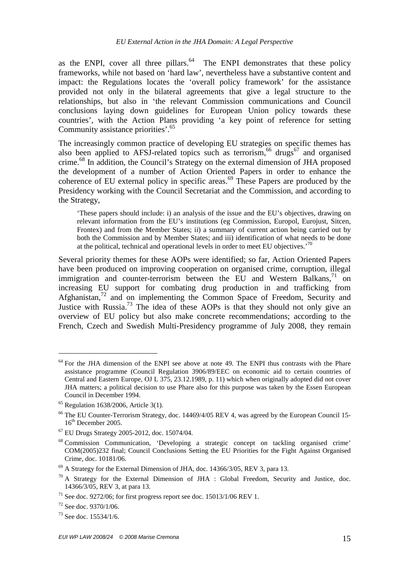as the ENPI, cover all three pillars.<sup>64</sup> The ENPI demonstrates that these policy frameworks, while not based on 'hard law', nevertheless have a substantive content and impact: the Regulations locates the 'overall policy framework' for the assistance provided not only in the bilateral agreements that give a legal structure to the relationships, but also in 'the relevant Commission communications and Council conclusions laying down guidelines for European Union policy towards these countries', with the Action Plans providing 'a key point of reference for setting Community assistance priorities'.<sup>65</sup>

The increasingly common practice of developing EU strategies on specific themes has also been applied to AFSJ-related topics such as terrorism,<sup>66</sup> drugs<sup>67</sup> and organised crime.<sup>68</sup> In addition, the Council's Strategy on the external dimension of JHA proposed the development of a number of Action Oriented Papers in order to enhance the coherence of EU external policy in specific areas.<sup>69</sup> These Papers are produced by the Presidency working with the Council Secretariat and the Commission, and according to the Strategy,

'These papers should include: i) an analysis of the issue and the EU's objectives, drawing on relevant information from the EU's institutions (eg Commission, Europol, Eurojust, Sitcen, Frontex) and from the Member States; ii) a summary of current action being carried out by both the Commission and by Member States; and iii) identification of what needs to be done at the political, technical and operational levels in order to meet EU objectives.'<sup>70</sup>

Several priority themes for these AOPs were identified; so far, Action Oriented Papers have been produced on improving cooperation on organised crime, corruption, illegal immigration and counter-terrorism between the EU and Western Balkans, $1$  on increasing EU support for combating drug production in and trafficking from Afghanistan,<sup>72</sup> and on implementing the Common Space of Freedom, Security and Justice with Russia.<sup>73</sup> The idea of these AOPs is that they should not only give an overview of EU policy but also make concrete recommendations; according to the French, Czech and Swedish Multi-Presidency programme of July 2008, they remain

 $64$  For the JHA dimension of the ENPI see above at note 49. The ENPI thus contrasts with the Phare assistance programme (Council Regulation 3906/89/EEC on economic aid to certain countries of Central and Eastern Europe, OJ L 375, 23.12.1989, p. 11) which when originally adopted did not cover JHA matters; a political decision to use Phare also for this purpose was taken by the Essen European Council in December 1994.

 $65$  Regulation 1638/2006, Article 3(1).

<sup>&</sup>lt;sup>66</sup> The EU Counter-Terrorism Strategy, doc. 14469/4/05 REV 4, was agreed by the European Council 15-16<sup>th</sup> December 2005.

<sup>67</sup> EU Drugs Strategy 2005-2012, doc. 15074/04.

<sup>68</sup> Commission Communication, 'Developing a strategic concept on tackling organised crime' COM(2005)232 final; Council Conclusions Setting the EU Priorities for the Fight Against Organised Crime, doc. 10181/06.

<sup>&</sup>lt;sup>69</sup> A Strategy for the External Dimension of JHA, doc. 14366/3/05, REV 3, para 13.

 $70$  A Strategy for the External Dimension of JHA : Global Freedom, Security and Justice, doc. 14366/3/05, REV 3, at para 13.

<sup>&</sup>lt;sup>71</sup> See doc. 9272/06; for first progress report see doc. 15013/1/06 REV 1.

<sup>72</sup> See doc. 9370/1/06.

<sup>73</sup> See doc. 15534/1/6.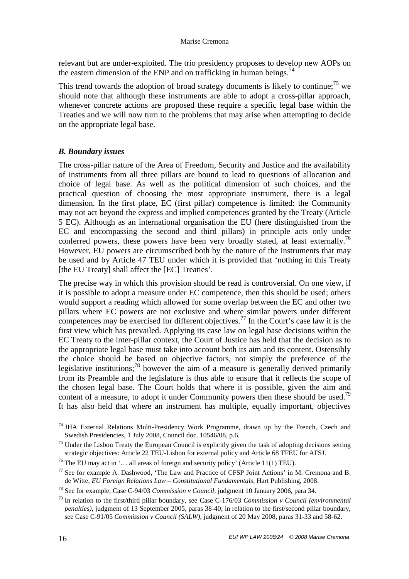relevant but are under-exploited. The trio presidency proposes to develop new AOPs on the eastern dimension of the ENP and on trafficking in human beings.<sup>74</sup>

This trend towards the adoption of broad strategy documents is likely to continue;<sup>75</sup> we should note that although these instruments are able to adopt a cross-pillar approach, whenever concrete actions are proposed these require a specific legal base within the Treaties and we will now turn to the problems that may arise when attempting to decide on the appropriate legal base.

# *B. Boundary issues*

The cross-pillar nature of the Area of Freedom, Security and Justice and the availability of instruments from all three pillars are bound to lead to questions of allocation and choice of legal base. As well as the political dimension of such choices, and the practical question of choosing the most appropriate instrument, there is a legal dimension. In the first place, EC (first pillar) competence is limited: the Community may not act beyond the express and implied competences granted by the Treaty (Article 5 EC). Although as an international organisation the EU (here distinguished from the EC and encompassing the second and third pillars) in principle acts only under conferred powers, these powers have been very broadly stated, at least externally.<sup>76</sup> However, EU powers are circumscribed both by the nature of the instruments that may be used and by Article 47 TEU under which it is provided that 'nothing in this Treaty [the EU Treaty] shall affect the [EC] Treaties'.

The precise way in which this provision should be read is controversial. On one view, if it is possible to adopt a measure under EC competence, then this should be used; others would support a reading which allowed for some overlap between the EC and other two pillars where EC powers are not exclusive and where similar powers under different competences may be exercised for different objectives.<sup>77</sup> In the Court's case law it is the first view which has prevailed. Applying its case law on legal base decisions within the EC Treaty to the inter-pillar context, the Court of Justice has held that the decision as to the appropriate legal base must take into account both its aim and its content. Ostensibly the choice should be based on objective factors, not simply the preference of the legislative institutions; $^{78}$  however the aim of a measure is generally derived primarily from its Preamble and the legislature is thus able to ensure that it reflects the scope of the chosen legal base. The Court holds that where it is possible, given the aim and content of a measure, to adopt it under Community powers then these should be used.<sup>79</sup> It has also held that where an instrument has multiple, equally important, objectives

 $74$  JHA External Relations Multi-Presidency Work Programme, drawn up by the French, Czech and Swedish Presidencies, 1 July 2008, Council doc. 10546/08, p.6.

 $75$  Under the Lisbon Treaty the European Council is explicitly given the task of adopting decisions setting strategic objectives: Article 22 TEU-Lisbon for external policy and Article 68 TFEU for AFSJ.

<sup>&</sup>lt;sup>76</sup> The EU may act in  $\cdot$ ... all areas of foreign and security policy' (Article 11(1) TEU).

 $77$  See for example A. Dashwood, 'The Law and Practice of CFSP Joint Actions' in M. Cremona and B. de Witte, *EU Foreign Relations Law – Constitutional Fundamentals*, Hart Publishing, 2008.

<sup>78</sup> See for example, Case C-94/03 *Commission v Council*, judgment 10 January 2006, para 34.

<sup>79</sup> In relation to the first/third pillar boundary, see Case C-176/03 *Commission v Council (environmental penalties),* judgment of 13 September 2005, paras 38-40; in relation to the first/second pillar boundary, see Case C-91/05 *Commission v Council (SALW)*, judgment of 20 May 2008, paras 31-33 and 58-62.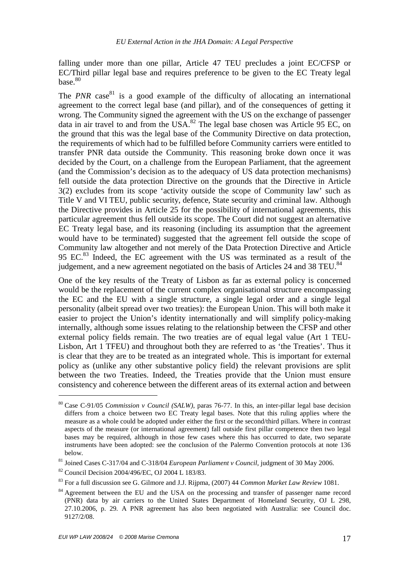falling under more than one pillar, Article 47 TEU precludes a joint EC/CFSP or EC/Third pillar legal base and requires preference to be given to the EC Treaty legal base. $80$ 

The *PNR* case<sup>81</sup> is a good example of the difficulty of allocating an international agreement to the correct legal base (and pillar), and of the consequences of getting it wrong. The Community signed the agreement with the US on the exchange of passenger data in air travel to and from the USA. $^{82}$  The legal base chosen was Article 95 EC, on the ground that this was the legal base of the Community Directive on data protection, the requirements of which had to be fulfilled before Community carriers were entitled to transfer PNR data outside the Community. This reasoning broke down once it was decided by the Court, on a challenge from the European Parliament, that the agreement (and the Commission's decision as to the adequacy of US data protection mechanisms) fell outside the data protection Directive on the grounds that the Directive in Article 3(2) excludes from its scope 'activity outside the scope of Community law' such as Title V and VI TEU, public security, defence, State security and criminal law. Although the Directive provides in Article 25 for the possibility of international agreements, this particular agreement thus fell outside its scope. The Court did not suggest an alternative EC Treaty legal base, and its reasoning (including its assumption that the agreement would have to be terminated) suggested that the agreement fell outside the scope of Community law altogether and not merely of the Data Protection Directive and Article 95 EC. $^{83}$  Indeed, the EC agreement with the US was terminated as a result of the judgement, and a new agreement negotiated on the basis of Articles 24 and 38 TEU.<sup>84</sup>

One of the key results of the Treaty of Lisbon as far as external policy is concerned would be the replacement of the current complex organisational structure encompassing the EC and the EU with a single structure, a single legal order and a single legal personality (albeit spread over two treaties): the European Union. This will both make it easier to project the Union's identity internationally and will simplify policy-making internally, although some issues relating to the relationship between the CFSP and other external policy fields remain. The two treaties are of equal legal value (Art 1 TEU-Lisbon, Art 1 TFEU) and throughout both they are referred to as 'the Treaties'. Thus it is clear that they are to be treated as an integrated whole. This is important for external policy as (unlike any other substantive policy field) the relevant provisions are split between the two Treaties. Indeed, the Treaties provide that the Union must ensure consistency and coherence between the different areas of its external action and between

<sup>80</sup> Case C-91/05 *Commission v Council (SALW)*, paras 76-77. In this, an inter-pillar legal base decision differs from a choice between two EC Treaty legal bases. Note that this ruling applies where the measure as a whole could be adopted under either the first or the second/third pillars. Where in contrast aspects of the measure (or international agreement) fall outside first pillar competence then two legal bases may be required, although in those few cases where this has occurred to date, two separate instruments have been adopted: see the conclusion of the Palermo Convention protocols at note 136 below.

<sup>81</sup> Joined Cases C-317/04 and C-318/04 *European Parliament v Council*, judgment of 30 May 2006.

<sup>82</sup> Council Decision 2004/496/EC, OJ 2004 L 183/83.

<sup>83</sup> For a full discussion see G. Gilmore and J.J. Rijpma, (2007) 44 *Common Market Law Review* 1081.

<sup>&</sup>lt;sup>84</sup> Agreement between the EU and the USA on the processing and transfer of passenger name record (PNR) data by air carriers to the United States Department of Homeland Security, OJ L 298, 27.10.2006, p. 29*.* A PNR agreement has also been negotiated with Australia: see Council doc. 9127/2/08.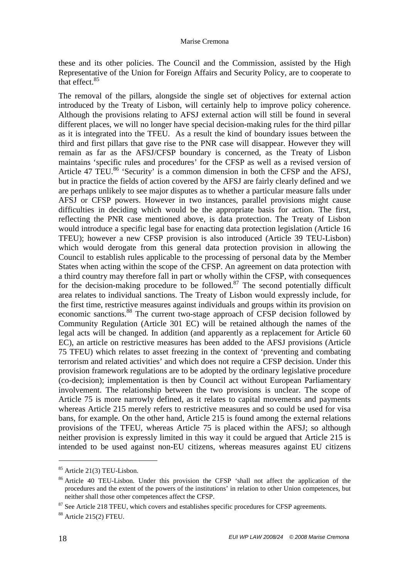these and its other policies. The Council and the Commission, assisted by the High Representative of the Union for Foreign Affairs and Security Policy, are to cooperate to that effect.<sup>85</sup>

The removal of the pillars, alongside the single set of objectives for external action introduced by the Treaty of Lisbon, will certainly help to improve policy coherence. Although the provisions relating to AFSJ external action will still be found in several different places, we will no longer have special decision-making rules for the third pillar as it is integrated into the TFEU. As a result the kind of boundary issues between the third and first pillars that gave rise to the PNR case will disappear. However they will remain as far as the AFSJ/CFSP boundary is concerned, as the Treaty of Lisbon maintains 'specific rules and procedures' for the CFSP as well as a revised version of Article 47 TEU.<sup>86</sup> 'Security' is a common dimension in both the CFSP and the AFSJ, but in practice the fields of action covered by the AFSJ are fairly clearly defined and we are perhaps unlikely to see major disputes as to whether a particular measure falls under AFSJ or CFSP powers. However in two instances, parallel provisions might cause difficulties in deciding which would be the appropriate basis for action. The first, reflecting the PNR case mentioned above, is data protection. The Treaty of Lisbon would introduce a specific legal base for enacting data protection legislation (Article 16 TFEU); however a new CFSP provision is also introduced (Article 39 TEU-Lisbon) which would derogate from this general data protection provision in allowing the Council to establish rules applicable to the processing of personal data by the Member States when acting within the scope of the CFSP. An agreement on data protection with a third country may therefore fall in part or wholly within the CFSP, with consequences for the decision-making procedure to be followed.<sup>87</sup> The second potentially difficult area relates to individual sanctions. The Treaty of Lisbon would expressly include, for the first time, restrictive measures against individuals and groups within its provision on economic sanctions.<sup>88</sup> The current two-stage approach of CFSP decision followed by Community Regulation (Article 301 EC) will be retained although the names of the legal acts will be changed. In addition (and apparently as a replacement for Article 60 EC), an article on restrictive measures has been added to the AFSJ provisions (Article 75 TFEU) which relates to asset freezing in the context of 'preventing and combating terrorism and related activities' and which does not require a CFSP decision. Under this provision framework regulations are to be adopted by the ordinary legislative procedure (co-decision); implementation is then by Council act without European Parliamentary involvement. The relationship between the two provisions is unclear. The scope of Article 75 is more narrowly defined, as it relates to capital movements and payments whereas Article 215 merely refers to restrictive measures and so could be used for visa bans, for example. On the other hand, Article 215 is found among the external relations provisions of the TFEU, whereas Article 75 is placed within the AFSJ; so although neither provision is expressly limited in this way it could be argued that Article 215 is intended to be used against non-EU citizens, whereas measures against EU citizens

<sup>85</sup> Article 21(3) TEU-Lisbon.

<sup>86</sup> Article 40 TEU-Lisbon. Under this provision the CFSP 'shall not affect the application of the procedures and the extent of the powers of the institutions' in relation to other Union competences, but neither shall those other competences affect the CFSP.

<sup>&</sup>lt;sup>87</sup> See Article 218 TFEU, which covers and establishes specific procedures for CFSP agreements.

<sup>88</sup> Article 215(2) FTEU.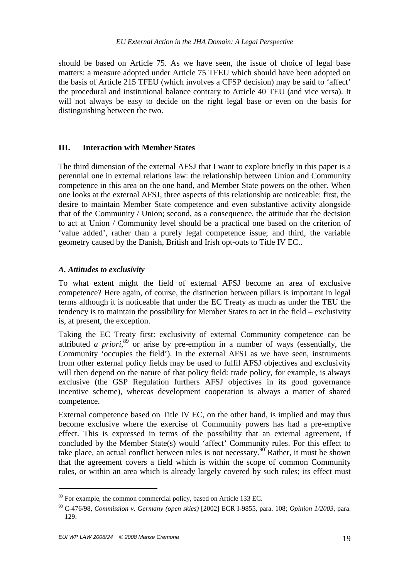should be based on Article 75. As we have seen, the issue of choice of legal base matters: a measure adopted under Article 75 TFEU which should have been adopted on the basis of Article 215 TFEU (which involves a CFSP decision) may be said to 'affect' the procedural and institutional balance contrary to Article 40 TEU (and vice versa). It will not always be easy to decide on the right legal base or even on the basis for distinguishing between the two.

# **III. Interaction with Member States**

The third dimension of the external AFSJ that I want to explore briefly in this paper is a perennial one in external relations law: the relationship between Union and Community competence in this area on the one hand, and Member State powers on the other. When one looks at the external AFSJ, three aspects of this relationship are noticeable: first, the desire to maintain Member State competence and even substantive activity alongside that of the Community / Union; second, as a consequence, the attitude that the decision to act at Union / Community level should be a practical one based on the criterion of 'value added', rather than a purely legal competence issue; and third, the variable geometry caused by the Danish, British and Irish opt-outs to Title IV EC..

# *A. Attitudes to exclusivity*

To what extent might the field of external AFSJ become an area of exclusive competence? Here again, of course, the distinction between pillars is important in legal terms although it is noticeable that under the EC Treaty as much as under the TEU the tendency is to maintain the possibility for Member States to act in the field – exclusivity is, at present, the exception.

Taking the EC Treaty first: exclusivity of external Community competence can be attributed *a priori*, <sup>89</sup> or arise by pre-emption in a number of ways (essentially, the Community 'occupies the field'). In the external AFSJ as we have seen, instruments from other external policy fields may be used to fulfil AFSJ objectives and exclusivity will then depend on the nature of that policy field: trade policy, for example, is always exclusive (the GSP Regulation furthers AFSJ objectives in its good governance incentive scheme), whereas development cooperation is always a matter of shared competence.

External competence based on Title IV EC, on the other hand, is implied and may thus become exclusive where the exercise of Community powers has had a pre-emptive effect. This is expressed in terms of the possibility that an external agreement, if concluded by the Member State(s) would 'affect' Community rules. For this effect to take place, an actual conflict between rules is not necessary.<sup>90</sup> Rather, it must be shown that the agreement covers a field which is within the scope of common Community rules, or within an area which is already largely covered by such rules; its effect must

<sup>&</sup>lt;sup>89</sup> For example, the common commercial policy, based on Article 133 EC.

<sup>90</sup> C-476/98, *Commission v. Germany (open skies)* [2002] ECR I-9855, para. 108; *Opinion 1/2003*, para. 129.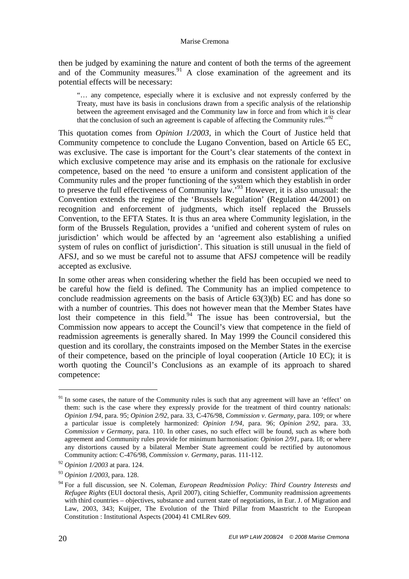then be judged by examining the nature and content of both the terms of the agreement and of the Community measures.<sup>91</sup> A close examination of the agreement and its potential effects will be necessary:

"… any competence, especially where it is exclusive and not expressly conferred by the Treaty, must have its basis in conclusions drawn from a specific analysis of the relationship between the agreement envisaged and the Community law in force and from which it is clear that the conclusion of such an agreement is capable of affecting the Community rules. $192$ 

This quotation comes from *Opinion 1/2003*, in which the Court of Justice held that Community competence to conclude the Lugano Convention, based on Article 65 EC, was exclusive. The case is important for the Court's clear statements of the context in which exclusive competence may arise and its emphasis on the rationale for exclusive competence, based on the need 'to ensure a uniform and consistent application of the Community rules and the proper functioning of the system which they establish in order to preserve the full effectiveness of Community law.<sup>93</sup> However, it is also unusual: the Convention extends the regime of the 'Brussels Regulation' (Regulation 44/2001) on recognition and enforcement of judgments, which itself replaced the Brussels Convention, to the EFTA States. It is thus an area where Community legislation, in the form of the Brussels Regulation, provides a 'unified and coherent system of rules on jurisdiction' which would be affected by an 'agreement also establishing a unified system of rules on conflict of jurisdiction'. This situation is still unusual in the field of AFSJ, and so we must be careful not to assume that AFSJ competence will be readily accepted as exclusive.

In some other areas when considering whether the field has been occupied we need to be careful how the field is defined. The Community has an implied competence to conclude readmission agreements on the basis of Article 63(3)(b) EC and has done so with a number of countries. This does not however mean that the Member States have lost their competence in this field. $94$  The issue has been controversial, but the Commission now appears to accept the Council's view that competence in the field of readmission agreements is generally shared. In May 1999 the Council considered this question and its corollary, the constraints imposed on the Member States in the exercise of their competence, based on the principle of loyal cooperation (Article 10 EC); it is worth quoting the Council's Conclusions as an example of its approach to shared competence:

<sup>&</sup>lt;sup>91</sup> In some cases, the nature of the Community rules is such that any agreement will have an 'effect' on them: such is the case where they expressly provide for the treatment of third country nationals: *Opinion 1/94*, para. 95; *Opinion 2/92*, para. 33, C-476/98, *Commission v. Germany*, para. 109; or where a particular issue is completely harmonized: *Opinion 1/94*, para. 96; *Opinion 2/92*, para. 33, *Commission v Germany*, para. 110. In other cases, no such effect will be found, such as where both agreement and Community rules provide for minimum harmonisation: *Opinion 2/91*, para. 18; or where any distortions caused by a bilateral Member State agreement could be rectified by autonomous Community action: C-476/98, *Commission v. Germany*, paras. 111-112.

<sup>92</sup> *Opinion 1/2003* at para. 124.

<sup>93</sup> *Opinion 1/2003*, para. 128.

<sup>94</sup> For a full discussion, see N. Coleman, *European Readmission Policy: Third Country Interests and Refugee Rights* (EUI doctoral thesis, April 2007), citing Schieffer, Community readmission agreements with third countries – objectives, substance and current state of negotiations, in Eur. J. of Migration and Law, 2003, 343; Kuijper, The Evolution of the Third Pillar from Maastricht to the European Constitution : Institutional Aspects (2004) 41 CMLRev 609.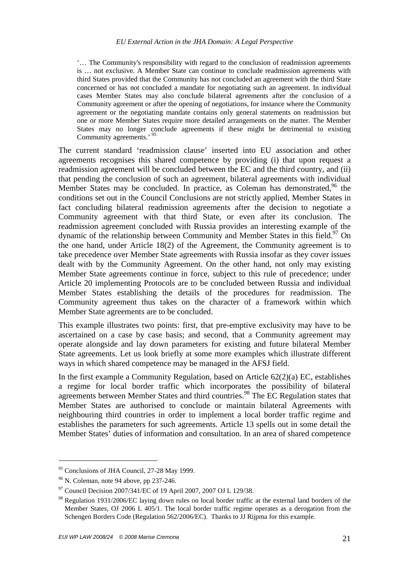'… The Community's responsibility with regard to the conclusion of readmission agreements is … not exclusive. A Member State can continue to conclude readmission agreements with third States provided that the Community has not concluded an agreement with the third State concerned or has not concluded a mandate for negotiating such an agreement. In individual cases Member States may also conclude bilateral agreements after the conclusion of a Community agreement or after the opening of negotiations, for instance where the Community agreement or the negotiating mandate contains only general statements on readmission but one or more Member States require more detailed arrangements on the matter. The Member States may no longer conclude agreements if these might be detrimental to existing Community agreements.'<sup>9</sup>

The current standard 'readmission clause' inserted into EU association and other agreements recognises this shared competence by providing (i) that upon request a readmission agreement will be concluded between the EC and the third country, and (ii) that pending the conclusion of such an agreement, bilateral agreements with individual Member States may be concluded. In practice, as Coleman has demonstrated,  $96$  the conditions set out in the Council Conclusions are not strictly applied, Member States in fact concluding bilateral readmission agreements after the decision to negotiate a Community agreement with that third State, or even after its conclusion. The readmission agreement concluded with Russia provides an interesting example of the dynamic of the relationship between Community and Member States in this field.<sup>97</sup> On the one hand, under Article 18(2) of the Agreement, the Community agreement is to take precedence over Member State agreements with Russia insofar as they cover issues dealt with by the Community Agreement. On the other hand, not only may existing Member State agreements continue in force, subject to this rule of precedence; under Article 20 implementing Protocols are to be concluded between Russia and individual Member States establishing the details of the procedures for readmission. The Community agreement thus takes on the character of a framework within which Member State agreements are to be concluded.

This example illustrates two points: first, that pre-emptive exclusivity may have to be ascertained on a case by case basis; and second, that a Community agreement may operate alongside and lay down parameters for existing and future bilateral Member State agreements. Let us look briefly at some more examples which illustrate different ways in which shared competence may be managed in the AFSJ field.

In the first example a Community Regulation, based on Article  $62(2)(a)$  EC, establishes a regime for local border traffic which incorporates the possibility of bilateral agreements between Member States and third countries. <sup>98</sup> The EC Regulation states that Member States are authorised to conclude or maintain bilateral Agreements with neighbouring third countries in order to implement a local border traffic regime and establishes the parameters for such agreements. Article 13 spells out in some detail the Member States' duties of information and consultation. In an area of shared competence

<sup>&</sup>lt;sup>95</sup> Conclusions of JHA Council, 27-28 May 1999.

 $96$  N. Coleman, note 94 above, pp 237-246.

 $^{97}$  Council Decision 2007/341/EC of 19 April 2007, 2007 OJ L 129/38.

<sup>&</sup>lt;sup>98</sup> Regulation 1931/2006/EC laying down rules on local border traffic at the external land borders of the Member States, OJ 2006 L 405/1. The local border traffic regime operates as a derogation from the Schengen Borders Code (Regulation 562/2006/EC). Thanks to JJ Rijpma for this example.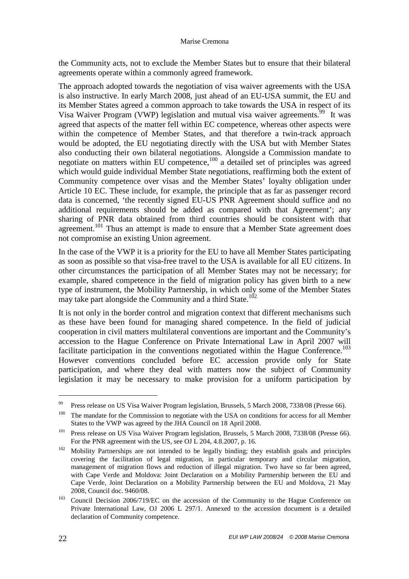the Community acts, not to exclude the Member States but to ensure that their bilateral agreements operate within a commonly agreed framework.

The approach adopted towards the negotiation of visa waiver agreements with the USA is also instructive. In early March 2008, just ahead of an EU-USA summit, the EU and its Member States agreed a common approach to take towards the USA in respect of its Visa Waiver Program (VWP) legislation and mutual visa waiver agreements.<sup>99</sup> It was agreed that aspects of the matter fell within EC competence, whereas other aspects were within the competence of Member States, and that therefore a twin-track approach would be adopted, the EU negotiating directly with the USA but with Member States also conducting their own bilateral negotiations. Alongside a Commission mandate to negotiate on matters within EU competence, $100$  a detailed set of principles was agreed which would guide individual Member State negotiations, reaffirming both the extent of Community competence over visas and the Member States' loyalty obligation under Article 10 EC. These include, for example, the principle that as far as passenger record data is concerned, 'the recently signed EU-US PNR Agreement should suffice and no additional requirements should be added as compared with that Agreement'; any sharing of PNR data obtained from third countries should be consistent with that agreement.<sup>101</sup> Thus an attempt is made to ensure that a Member State agreement does not compromise an existing Union agreement.

In the case of the VWP it is a priority for the EU to have all Member States participating as soon as possible so that visa-free travel to the USA is available for all EU citizens. In other circumstances the participation of all Member States may not be necessary; for example, shared competence in the field of migration policy has given birth to a new type of instrument, the Mobility Partnership, in which only some of the Member States may take part alongside the Community and a third State.<sup>102</sup>

It is not only in the border control and migration context that different mechanisms such as these have been found for managing shared competence. In the field of judicial cooperation in civil matters multilateral conventions are important and the Community's accession to the Hague Conference on Private International Law in April 2007 will facilitate participation in the conventions negotiated within the Hague Conference.<sup>103</sup> However conventions concluded before EC accession provide only for State participation, and where they deal with matters now the subject of Community legislation it may be necessary to make provision for a uniform participation by

<sup>&</sup>lt;sup>99</sup> Press release on US Visa Waiver Program legislation, Brussels, 5 March 2008, 7338/08 (Presse 66).

<sup>&</sup>lt;sup>100</sup> The mandate for the Commission to negotiate with the USA on conditions for access for all Member States to the VWP was agreed by the JHA Council on 18 April 2008.

<sup>&</sup>lt;sup>101</sup> Press release on US Visa Waiver Program legislation, Brussels, 5 March 2008, 7338/08 (Presse 66). For the PNR agreement with the US, see OJ L 204, 4.8.2007, p. 16.

<sup>&</sup>lt;sup>102</sup> Mobility Partnerships are not intended to be legally binding; they establish goals and principles covering the facilitation of legal migration, in particular temporary and circular migration, management of migration flows and reduction of illegal migration. Two have so far been agreed, with Cape Verde and Moldova: Joint Declaration on a Mobility Partnership between the EU and Cape Verde, Joint Declaration on a Mobility Partnership between the EU and Moldova, 21 May 2008, Council doc. 9460/08.

<sup>&</sup>lt;sup>103</sup> Council Decision 2006/719/EC on the accession of the Community to the Hague Conference on Private International Law, OJ 2006 L 297/1. Annexed to the accession document is a detailed declaration of Community competence.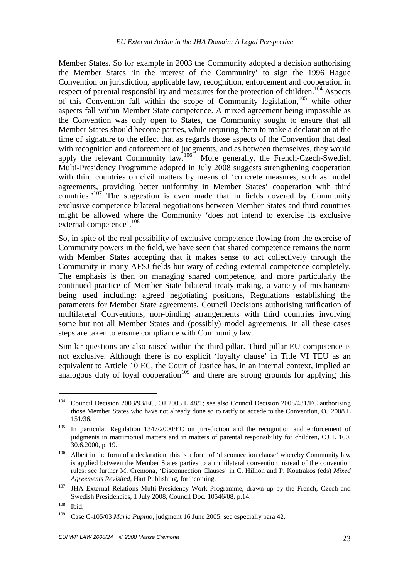Member States. So for example in 2003 the Community adopted a decision authorising the Member States 'in the interest of the Community' to sign the 1996 Hague Convention on jurisdiction, applicable law, recognition, enforcement and cooperation in respect of parental responsibility and measures for the protection of children.<sup>104</sup> Aspects of this Convention fall within the scope of Community legislation,  $105$  while other aspects fall within Member State competence. A mixed agreement being impossible as the Convention was only open to States, the Community sought to ensure that all Member States should become parties, while requiring them to make a declaration at the time of signature to the effect that as regards those aspects of the Convention that deal with recognition and enforcement of judgments, and as between themselves, they would apply the relevant Community law.<sup>106</sup> More generally, the French-Czech-Swedish Multi-Presidency Programme adopted in July 2008 suggests strengthening cooperation with third countries on civil matters by means of 'concrete measures, such as model agreements, providing better uniformity in Member States' cooperation with third countries.' $107$ <sup>T</sup> The suggestion is even made that in fields covered by Community exclusive competence bilateral negotiations between Member States and third countries might be allowed where the Community 'does not intend to exercise its exclusive external competence'.<sup>108</sup>

So, in spite of the real possibility of exclusive competence flowing from the exercise of Community powers in the field, we have seen that shared competence remains the norm with Member States accepting that it makes sense to act collectively through the Community in many AFSJ fields but wary of ceding external competence completely. The emphasis is then on managing shared competence, and more particularly the continued practice of Member State bilateral treaty-making, a variety of mechanisms being used including: agreed negotiating positions, Regulations establishing the parameters for Member State agreements, Council Decisions authorising ratification of multilateral Conventions, non-binding arrangements with third countries involving some but not all Member States and (possibly) model agreements. In all these cases steps are taken to ensure compliance with Community law.

Similar questions are also raised within the third pillar. Third pillar EU competence is not exclusive. Although there is no explicit 'loyalty clause' in Title VI TEU as an equivalent to Article 10 EC, the Court of Justice has, in an internal context, implied an analogous duty of loyal cooperation<sup>109</sup> and there are strong grounds for applying this

<sup>104</sup> Council Decision 2003/93/EC, OJ 2003 L 48/1; see also Council Decision 2008/431/EC authorising those Member States who have not already done so to ratify or accede to the Convention, OJ 2008 L 151/36.

<sup>&</sup>lt;sup>105</sup> In particular Regulation 1347/2000/EC on jurisdiction and the recognition and enforcement of judgments in matrimonial matters and in matters of parental responsibility for children, OJ L 160, 30.6.2000, p. 19.

 $106$  Albeit in the form of a declaration, this is a form of 'disconnection clause' whereby Community law is applied between the Member States parties to a multilateral convention instead of the convention rules; see further M. Cremona, 'Disconnection Clauses' in C. Hillion and P. Koutrakos (eds) *Mixed Agreements Revisited*, Hart Publishing, forthcoming.

 $107$  JHA External Relations Multi-Presidency Work Programme, drawn up by the French, Czech and Swedish Presidencies, 1 July 2008, Council Doc. 10546/08, p.14.

 $108$  Ibid.

<sup>109</sup> Case C-105/03 *Maria Pupino*, judgment 16 June 2005, see especially para 42.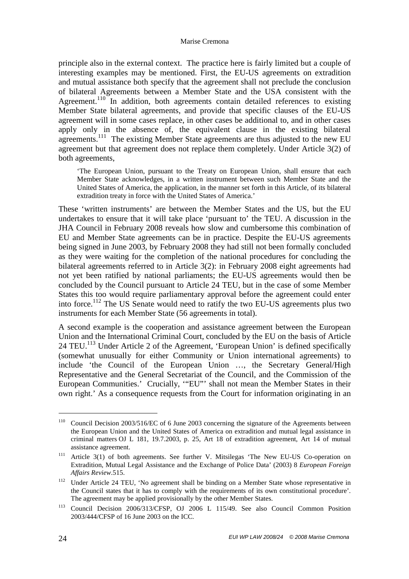principle also in the external context. The practice here is fairly limited but a couple of interesting examples may be mentioned. First, the EU-US agreements on extradition and mutual assistance both specify that the agreement shall not preclude the conclusion of bilateral Agreements between a Member State and the USA consistent with the Agreement.<sup>110</sup> In addition, both agreements contain detailed references to existing Member State bilateral agreements, and provide that specific clauses of the EU-US agreement will in some cases replace, in other cases be additional to, and in other cases apply only in the absence of, the equivalent clause in the existing bilateral agreements.<sup>111</sup> The existing Member State agreements are thus adjusted to the new EU agreement but that agreement does not replace them completely. Under Article 3(2) of both agreements,

'The European Union, pursuant to the Treaty on European Union, shall ensure that each Member State acknowledges, in a written instrument between such Member State and the United States of America, the application, in the manner set forth in this Article, of its bilateral extradition treaty in force with the United States of America.'

These 'written instruments' are between the Member States and the US, but the EU undertakes to ensure that it will take place 'pursuant to' the TEU. A discussion in the JHA Council in February 2008 reveals how slow and cumbersome this combination of EU and Member State agreements can be in practice. Despite the EU-US agreements being signed in June 2003, by February 2008 they had still not been formally concluded as they were waiting for the completion of the national procedures for concluding the bilateral agreements referred to in Article 3(2): in February 2008 eight agreements had not yet been ratified by national parliaments; the EU-US agreements would then be concluded by the Council pursuant to Article 24 TEU, but in the case of some Member States this too would require parliamentary approval before the agreement could enter into force.<sup>112</sup> The US Senate would need to ratify the two EU-US agreements plus two instruments for each Member State (56 agreements in total).

A second example is the cooperation and assistance agreement between the European Union and the International Criminal Court, concluded by the EU on the basis of Article 24 TEU.<sup>113</sup> Under Article 2 of the Agreement, 'European Union' is defined specifically (somewhat unusually for either Community or Union international agreements) to include 'the Council of the European Union …, the Secretary General/High Representative and the General Secretariat of the Council, and the Commission of the European Communities.' Crucially, '"EU"' shall not mean the Member States in their own right.' As a consequence requests from the Court for information originating in an

<sup>&</sup>lt;sup>110</sup> Council Decision 2003/516/EC of 6 June 2003 concerning the signature of the Agreements between the European Union and the United States of America on extradition and mutual legal assistance in criminal matters OJ L 181, 19.7.2003, p. 25, Art 18 of extradition agreement, Art 14 of mutual assistance agreement.

<sup>&</sup>lt;sup>111</sup> Article 3(1) of both agreements. See further V. Mitsilegas 'The New EU-US Co-operation on Extradition, Mutual Legal Assistance and the Exchange of Police Data' (2003) 8 *European Foreign Affairs Review*.515.

<sup>&</sup>lt;sup>112</sup> Under Article 24 TEU, 'No agreement shall be binding on a Member State whose representative in the Council states that it has to comply with the requirements of its own constitutional procedure'. The agreement may be applied provisionally by the other Member States.

<sup>113</sup> Council Decision 2006/313/CFSP, OJ 2006 L 115/49. See also Council Common Position 2003/444/CFSP of 16 June 2003 on the ICC.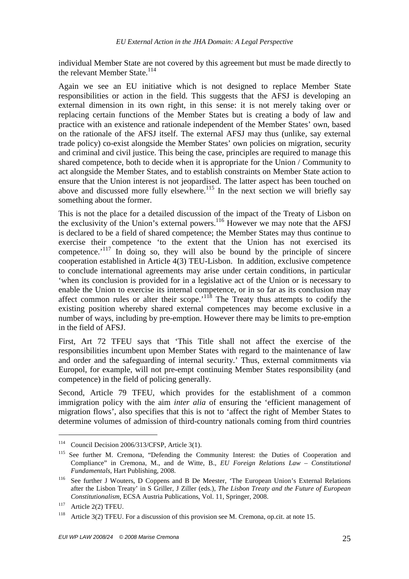individual Member State are not covered by this agreement but must be made directly to the relevant Member State.<sup>114</sup>

Again we see an EU initiative which is not designed to replace Member State responsibilities or action in the field. This suggests that the AFSJ is developing an external dimension in its own right, in this sense: it is not merely taking over or replacing certain functions of the Member States but is creating a body of law and practice with an existence and rationale independent of the Member States' own, based on the rationale of the AFSJ itself. The external AFSJ may thus (unlike, say external trade policy) co-exist alongside the Member States' own policies on migration, security and criminal and civil justice. This being the case, principles are required to manage this shared competence, both to decide when it is appropriate for the Union / Community to act alongside the Member States, and to establish constraints on Member State action to ensure that the Union interest is not jeopardised. The latter aspect has been touched on above and discussed more fully elsewhere.<sup>115</sup> In the next section we will briefly say something about the former.

This is not the place for a detailed discussion of the impact of the Treaty of Lisbon on the exclusivity of the Union's external powers.<sup>116</sup> However we may note that the AFSJ is declared to be a field of shared competence; the Member States may thus continue to exercise their competence 'to the extent that the Union has not exercised its competence.<sup> $117$ </sup> In doing so, they will also be bound by the principle of sincere cooperation established in Article 4(3) TEU-Lisbon. In addition, exclusive competence to conclude international agreements may arise under certain conditions, in particular 'when its conclusion is provided for in a legislative act of the Union or is necessary to enable the Union to exercise its internal competence, or in so far as its conclusion may affect common rules or alter their scope.<sup> $11\$ </sup> The Treaty thus attempts to codify the existing position whereby shared external competences may become exclusive in a number of ways, including by pre-emption. However there may be limits to pre-emption in the field of AFSJ.

First, Art 72 TFEU says that 'This Title shall not affect the exercise of the responsibilities incumbent upon Member States with regard to the maintenance of law and order and the safeguarding of internal security.' Thus, external commitments via Europol, for example, will not pre-empt continuing Member States responsibility (and competence) in the field of policing generally.

Second, Article 79 TFEU, which provides for the establishment of a common immigration policy with the aim *inter alia* of ensuring the 'efficient management of migration flows', also specifies that this is not to 'affect the right of Member States to determine volumes of admission of third-country nationals coming from third countries

<sup>114</sup> Council Decision 2006/313/CFSP, Article 3(1).

<sup>&</sup>lt;sup>115</sup> See further M. Cremona, "Defending the Community Interest: the Duties of Cooperation and Compliance" in Cremona, M., and de Witte, B., *EU Foreign Relations Law – Constitutional Fundamentals*, Hart Publishing, 2008.

<sup>116</sup> See further J Wouters, D Coppens and B De Meester, 'The European Union's External Relations after the Lisbon Treaty' in S Griller, J Ziller (eds.), *The Lisbon Treaty and the Future of European Constitutionalism*, ECSA Austria Publications, Vol. 11, Springer, 2008.

 $117$  Article 2(2) TFEU.

<sup>&</sup>lt;sup>118</sup> Article 3(2) TFEU. For a discussion of this provision see M. Cremona, op.cit. at note 15.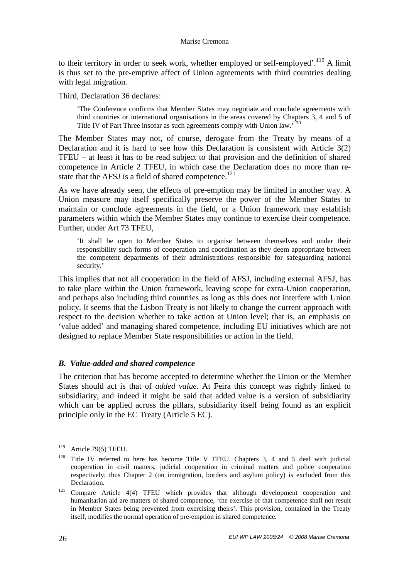to their territory in order to seek work, whether employed or self-employed'.<sup>119</sup> A limit is thus set to the pre-emptive affect of Union agreements with third countries dealing with legal migration.

Third, Declaration 36 declares:

'The Conference confirms that Member States may negotiate and conclude agreements with third countries or international organisations in the areas covered by Chapters 3, 4 and 5 of Title IV of Part Three insofar as such agreements comply with Union law.<sup>120</sup>

The Member States may not, of course, derogate from the Treaty by means of a Declaration and it is hard to see how this Declaration is consistent with Article 3(2) TFEU – at least it has to be read subject to that provision and the definition of shared competence in Article 2 TFEU, in which case the Declaration does no more than restate that the AFSJ is a field of shared competence.<sup>121</sup>

As we have already seen, the effects of pre-emption may be limited in another way. A Union measure may itself specifically preserve the power of the Member States to maintain or conclude agreements in the field, or a Union framework may establish parameters within which the Member States may continue to exercise their competence. Further, under Art 73 TFEU,

'It shall be open to Member States to organise between themselves and under their responsibility such forms of cooperation and coordination as they deem appropriate between the competent departments of their administrations responsible for safeguarding national security.'

This implies that not all cooperation in the field of AFSJ, including external AFSJ, has to take place within the Union framework, leaving scope for extra-Union cooperation, and perhaps also including third countries as long as this does not interfere with Union policy. It seems that the Lisbon Treaty is not likely to change the current approach with respect to the decision whether to take action at Union level; that is, an emphasis on 'value added' and managing shared competence, including EU initiatives which are not designed to replace Member State responsibilities or action in the field.

#### *B. Value-added and shared competence*

The criterion that has become accepted to determine whether the Union or the Member States should act is that of *added value*. At Feira this concept was rightly linked to subsidiarity, and indeed it might be said that added value is a version of subsidiarity which can be applied across the pillars, subsidiarity itself being found as an explicit principle only in the EC Treaty (Article 5 EC).

 $119$  Article 79(5) TFEU.

<sup>&</sup>lt;sup>120</sup> Title IV referred to here has become Title V TFEU. Chapters 3, 4 and 5 deal with judicial cooperation in civil matters, judicial cooperation in criminal matters and police cooperation respectively; thus Chapter 2 (on immigration, borders and asylum policy) is excluded from this Declaration.

<sup>121</sup> Compare Article 4(4) TFEU which provides that although development cooperation and humanitarian aid are matters of shared competence, 'the exercise of that competence shall not result in Member States being prevented from exercising theirs'. This provision, contained in the Treaty itself, modifies the normal operation of pre-emption in shared competence.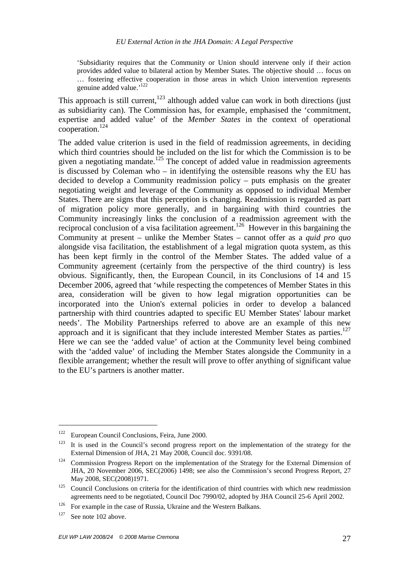'Subsidiarity requires that the Community or Union should intervene only if their action provides added value to bilateral action by Member States. The objective should … focus on … fostering effective cooperation in those areas in which Union intervention represents genuine added value.'<sup>122</sup>

This approach is still current, $123$  although added value can work in both directions (just as subsidiarity can). The Commission has, for example, emphasised the 'commitment, expertise and added value' of the *Member States* in the context of operational cooperation.<sup>124</sup>

The added value criterion is used in the field of readmission agreements, in deciding which third countries should be included on the list for which the Commission is to be given a negotiating mandate.<sup>125</sup> The concept of added value in readmission agreements is discussed by Coleman who – in identifying the ostensible reasons why the EU has decided to develop a Community readmission policy – puts emphasis on the greater negotiating weight and leverage of the Community as opposed to individual Member States. There are signs that this perception is changing. Readmission is regarded as part of migration policy more generally, and in bargaining with third countries the Community increasingly links the conclusion of a readmission agreement with the reciprocal conclusion of a visa facilitation agreement.<sup>126</sup> However in this bargaining the Community at present – unlike the Member States – cannot offer as a *quid pro quo* alongside visa facilitation, the establishment of a legal migration quota system, as this has been kept firmly in the control of the Member States. The added value of a Community agreement (certainly from the perspective of the third country) is less obvious. Significantly, then, the European Council, in its Conclusions of 14 and 15 December 2006, agreed that 'while respecting the competences of Member States in this area, consideration will be given to how legal migration opportunities can be incorporated into the Union's external policies in order to develop a balanced partnership with third countries adapted to specific EU Member States' labour market needs'. The Mobility Partnerships referred to above are an example of this new approach and it is significant that they include interested Member States as parties.<sup>127</sup> Here we can see the 'added value' of action at the Community level being combined with the 'added value' of including the Member States alongside the Community in a flexible arrangement; whether the result will prove to offer anything of significant value to the EU's partners is another matter.

<sup>122</sup> European Council Conclusions, Feira, June 2000.

<sup>&</sup>lt;sup>123</sup> It is used in the Council's second progress report on the implementation of the strategy for the External Dimension of JHA, 21 May 2008, Council doc. 9391/08.

<sup>&</sup>lt;sup>124</sup> Commission Progress Report on the implementation of the Strategy for the External Dimension of JHA, 20 November 2006, SEC(2006) 1498; see also the Commission's second Progress Report, 27 May 2008, SEC(2008)1971.

 $125$  Council Conclusions on criteria for the identification of third countries with which new readmission agreements need to be negotiated, Council Doc 7990/02, adopted by JHA Council 25-6 April 2002.

<sup>&</sup>lt;sup>126</sup> For example in the case of Russia, Ukraine and the Western Balkans.

<sup>&</sup>lt;sup>127</sup> See note 102 above.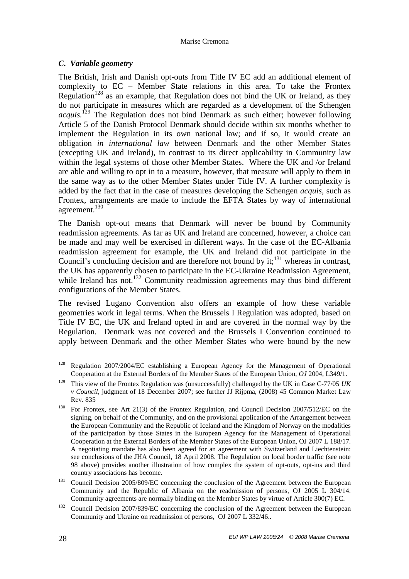# *C. Variable geometry*

The British, Irish and Danish opt-outs from Title IV EC add an additional element of complexity to EC – Member State relations in this area. To take the Frontex Regulation<sup>128</sup> as an example, that Regulation does not bind the UK or Ireland, as they do not participate in measures which are regarded as a development of the Schengen *acquis.*<sup>129</sup> The Regulation does not bind Denmark as such either; however following Article 5 of the Danish Protocol Denmark should decide within six months whether to implement the Regulation in its own national law; and if so, it would create an obligation *in international law* between Denmark and the other Member States (excepting UK and Ireland), in contrast to its direct applicability in Community law within the legal systems of those other Member States. Where the UK and /or Ireland are able and willing to opt in to a measure, however, that measure will apply to them in the same way as to the other Member States under Title IV. A further complexity is added by the fact that in the case of measures developing the Schengen *acquis*, such as Frontex, arrangements are made to include the EFTA States by way of international agreement.<sup>130</sup>

The Danish opt-out means that Denmark will never be bound by Community readmission agreements. As far as UK and Ireland are concerned, however, a choice can be made and may well be exercised in different ways. In the case of the EC-Albania readmission agreement for example, the UK and Ireland did not participate in the Council's concluding decision and are therefore not bound by it;<sup>131</sup> whereas in contrast, the UK has apparently chosen to participate in the EC-Ukraine Readmission Agreement, while Ireland has not.<sup>132</sup> Community readmission agreements may thus bind different configurations of the Member States.

The revised Lugano Convention also offers an example of how these variable geometries work in legal terms. When the Brussels I Regulation was adopted, based on Title IV EC, the UK and Ireland opted in and are covered in the normal way by the Regulation. Denmark was not covered and the Brussels I Convention continued to apply between Denmark and the other Member States who were bound by the new

<sup>&</sup>lt;sup>128</sup> Regulation 2007/2004/EC establishing a European Agency for the Management of Operational Cooperation at the External Borders of the Member States of the European Union, *OJ* 2004, L349/1.

<sup>129</sup> This view of the Frontex Regulation was (unsuccessfully) challenged by the UK in Case C-77/05 *UK v Council*, judgment of 18 December 2007; see further JJ Rijpma, (2008) 45 Common Market Law Rev. 835

<sup>&</sup>lt;sup>130</sup> For Frontex, see Art 21(3) of the Frontex Regulation, and Council Decision 2007/512/EC on the signing, on behalf of the Community, and on the provisional application of the Arrangement between the European Community and the Republic of Iceland and the Kingdom of Norway on the modalities of the participation by those States in the European Agency for the Management of Operational Cooperation at the External Borders of the Member States of the European Union, OJ 2007 L 188/17. A negotiating mandate has also been agreed for an agreement with Switzerland and Liechtenstein: see conclusions of the JHA Council, 18 April 2008. The Regulation on local border traffic (see note 98 above) provides another illustration of how complex the system of opt-outs, opt-ins and third country associations has become.

<sup>&</sup>lt;sup>131</sup> Council Decision 2005/809/EC concerning the conclusion of the Agreement between the European Community and the Republic of Albania on the readmission of persons, OJ 2005 L 304/14. Community agreements are normally binding on the Member States by virtue of Article 300(7) EC.

 $132$  Council Decision 2007/839/EC concerning the conclusion of the Agreement between the European Community and Ukraine on readmission of persons, OJ 2007 L 332/46..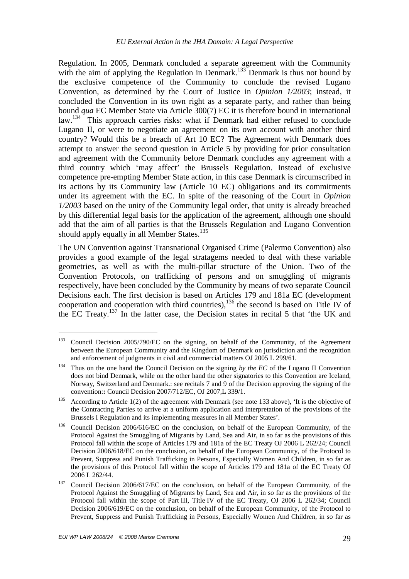Regulation. In 2005, Denmark concluded a separate agreement with the Community with the aim of applying the Regulation in Denmark.<sup>133</sup> Denmark is thus not bound by the exclusive competence of the Community to conclude the revised Lugano Convention, as determined by the Court of Justice in *Opinion 1/2003*; instead, it concluded the Convention in its own right as a separate party, and rather than being bound *qua* EC Member State via Article 300(7) EC it is therefore bound in international law.<sup>134</sup> This approach carries risks: what if Denmark had either refused to conclude Lugano II, or were to negotiate an agreement on its own account with another third country? Would this be a breach of Art 10 EC? The Agreement with Denmark does attempt to answer the second question in Article 5 by providing for prior consultation and agreement with the Community before Denmark concludes any agreement with a third country which 'may affect' the Brussels Regulation. Instead of exclusive competence pre-empting Member State action, in this case Denmark is circumscribed in its actions by its Community law (Article 10 EC) obligations and its commitments under its agreement with the EC. In spite of the reasoning of the Court in *Opinion 1/2003* based on the unity of the Community legal order, that unity is already breached by this differential legal basis for the application of the agreement, although one should add that the aim of all parties is that the Brussels Regulation and Lugano Convention should apply equally in all Member States.<sup>135</sup>

The UN Convention against Transnational Organised Crime (Palermo Convention) also provides a good example of the legal stratagems needed to deal with these variable geometries, as well as with the multi-pillar structure of the Union. Two of the Convention Protocols, on trafficking of persons and on smuggling of migrants respectively, have been concluded by the Community by means of two separate Council Decisions each. The first decision is based on Articles 179 and 181a EC (development cooperation and cooperation with third countries), $136$  the second is based on Title IV of the EC Treaty.<sup>137</sup> In the latter case, the Decision states in recital 5 that 'the UK and

<sup>&</sup>lt;sup>133</sup> Council Decision 2005/790/EC on the signing, on behalf of the Community, of the Agreement between the European Community and the Kingdom of Denmark on jurisdiction and the recognition and enforcement of judgments in civil and commercial matters OJ 2005 L 299/61.

<sup>&</sup>lt;sup>134</sup> Thus on the one hand the Council Decision on the signing by the EC of the Lugano II Convention does not bind Denmark, while on the other hand the other signatories to this Convention are Iceland, Norway, Switzerland and Denmark.: see recitals 7 and 9 of the Decision approving the signing of the convention:**:** Council Decision 2007/712/EC, OJ 2007,L 339/1.

<sup>&</sup>lt;sup>135</sup> According to Article 1(2) of the agreement with Denmark (see note 133 above), 'It is the objective of the Contracting Parties to arrive at a uniform application and interpretation of the provisions of the Brussels I Regulation and its implementing measures in all Member States'.

<sup>&</sup>lt;sup>136</sup> Council Decision 2006/616/EC on the conclusion, on behalf of the European Community, of the Protocol Against the Smuggling of Migrants by Land, Sea and Air, in so far as the provisions of this Protocol fall within the scope of Articles 179 and 181a of the EC Treaty OJ 2006 L 262/24; Council Decision 2006/618/EC on the conclusion, on behalf of the European Community, of the Protocol to Prevent, Suppress and Punish Trafficking in Persons, Especially Women And Children, in so far as the provisions of this Protocol fall within the scope of Articles 179 and 181a of the EC Treaty OJ 2006 L 262/44.

<sup>&</sup>lt;sup>137</sup> Council Decision 2006/617/EC on the conclusion, on behalf of the European Community, of the Protocol Against the Smuggling of Migrants by Land, Sea and Air, in so far as the provisions of the Protocol fall within the scope of Part III, Title IV of the EC Treaty, OJ 2006 L 262/34; Council Decision 2006/619/EC on the conclusion, on behalf of the European Community, of the Protocol to Prevent, Suppress and Punish Trafficking in Persons, Especially Women And Children, in so far as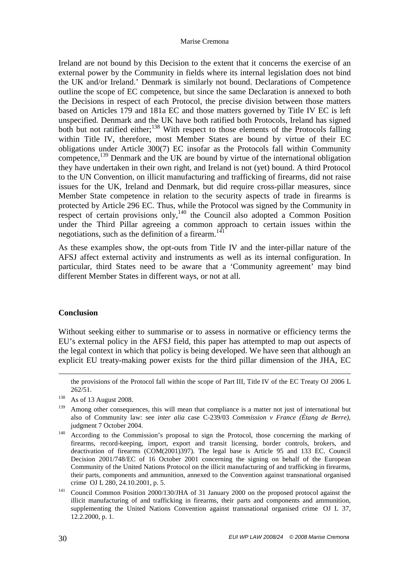Ireland are not bound by this Decision to the extent that it concerns the exercise of an external power by the Community in fields where its internal legislation does not bind the UK and/or Ireland.' Denmark is similarly not bound. Declarations of Competence outline the scope of EC competence, but since the same Declaration is annexed to both the Decisions in respect of each Protocol, the precise division between those matters based on Articles 179 and 181a EC and those matters governed by Title IV EC is left unspecified. Denmark and the UK have both ratified both Protocols, Ireland has signed both but not ratified either;<sup>138</sup> With respect to those elements of the Protocols falling within Title IV, therefore, most Member States are bound by virtue of their EC obligations under Article 300(7) EC insofar as the Protocols fall within Community competence,<sup>139</sup> Denmark and the UK are bound by virtue of the international obligation they have undertaken in their own right, and Ireland is not (yet) bound. A third Protocol to the UN Convention, on illicit manufacturing and trafficking of firearms, did not raise issues for the UK, Ireland and Denmark, but did require cross-pillar measures, since Member State competence in relation to the security aspects of trade in firearms is protected by Article 296 EC. Thus, while the Protocol was signed by the Community in respect of certain provisions only,  $140$  the Council also adopted a Common Position under the Third Pillar agreeing a common approach to certain issues within the negotiations, such as the definition of a firearm.<sup>141</sup>

As these examples show, the opt-outs from Title IV and the inter-pillar nature of the AFSJ affect external activity and instruments as well as its internal configuration. In particular, third States need to be aware that a 'Community agreement' may bind different Member States in different ways, or not at all.

# **Conclusion**

<u>.</u>

Without seeking either to summarise or to assess in normative or efficiency terms the EU's external policy in the AFSJ field, this paper has attempted to map out aspects of the legal context in which that policy is being developed. We have seen that although an explicit EU treaty-making power exists for the third pillar dimension of the JHA, EC

the provisions of the Protocol fall within the scope of Part III, Title IV of the EC Treaty OJ 2006 L 262/51.

<sup>138</sup> As of 13 August 2008.

<sup>&</sup>lt;sup>139</sup> Among other consequences, this will mean that compliance is a matter not just of international but also of Community law: see *inter alia* case C-239/03 *Commission v France (Étang de Berre)*, judgment 7 October 2004.

<sup>&</sup>lt;sup>140</sup> According to the Commission's proposal to sign the Protocol, those concerning the marking of firearms, record-keeping, import, export and transit licensing, border controls, brokers, and deactivation of firearms (COM(2001)397). The legal base is Article 95 and 133 EC. Council Decision 2001/748/EC of 16 October 2001 concerning the signing on behalf of the European Community of the United Nations Protocol on the illicit manufacturing of and trafficking in firearms, their parts, components and ammunition, annexed to the Convention against transnational organised crime OJ L 280, 24.10.2001, p. 5.

<sup>&</sup>lt;sup>141</sup> Council Common Position 2000/130/JHA of 31 January 2000 on the proposed protocol against the illicit manufacturing of and trafficking in firearms, their parts and components and ammunition, supplementing the United Nations Convention against transnational organised crimeOJ L 37, 12.2.2000, p. 1.